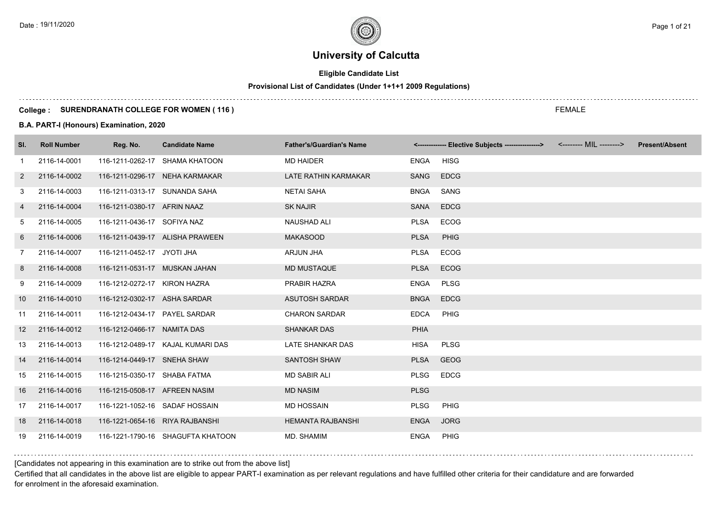# **Eligible Candidate List**

# **Provisional List of Candidates (Under 1+1+1 2009 Regulations)**

#### **College : SURENDRANATH COLLEGE FOR WOMEN ( 116 )**

#### **B.A. PART-I (Honours) Examination, 2020**

| SI.               | <b>Roll Number</b> | Reg. No.                        | <b>Candidate Name</b>             | <b>Father's/Guardian's Name</b> |             | <------------- Elective Subjects ----------------> <-------- MIL --------> | <b>Present/Absent</b> |
|-------------------|--------------------|---------------------------------|-----------------------------------|---------------------------------|-------------|----------------------------------------------------------------------------|-----------------------|
| 1                 | 2116-14-0001       |                                 | 116-1211-0262-17 SHAMA KHATOON    | <b>MD HAIDER</b>                | ENGA        | <b>HISG</b>                                                                |                       |
| $\overline{2}$    | 2116-14-0002       |                                 | 116-1211-0296-17 NEHA KARMAKAR    | LATE RATHIN KARMAKAR            | SANG        | <b>EDCG</b>                                                                |                       |
| 3                 | 2116-14-0003       | 116-1211-0313-17 SUNANDA SAHA   |                                   | <b>NETAI SAHA</b>               | <b>BNGA</b> | SANG                                                                       |                       |
| 4                 | 2116-14-0004       | 116-1211-0380-17 AFRIN NAAZ     |                                   | <b>SK NAJIR</b>                 | <b>SANA</b> | <b>EDCG</b>                                                                |                       |
| 5                 | 2116-14-0005       | 116-1211-0436-17 SOFIYA NAZ     |                                   | <b>NAUSHAD ALI</b>              | <b>PLSA</b> | <b>ECOG</b>                                                                |                       |
| 6                 | 2116-14-0006       |                                 | 116-1211-0439-17 ALISHA PRAWEEN   | <b>MAKASOOD</b>                 | <b>PLSA</b> | PHIG                                                                       |                       |
| $\overline{7}$    | 2116-14-0007       | 116-1211-0452-17 JYOTI JHA      |                                   | <b>ARJUN JHA</b>                | <b>PLSA</b> | ECOG                                                                       |                       |
| 8                 | 2116-14-0008       | 116-1211-0531-17 MUSKAN JAHAN   |                                   | <b>MD MUSTAQUE</b>              | <b>PLSA</b> | <b>ECOG</b>                                                                |                       |
| 9                 | 2116-14-0009       | 116-1212-0272-17 KIRON HAZRA    |                                   | PRABIR HAZRA                    | <b>ENGA</b> | <b>PLSG</b>                                                                |                       |
| 10                | 2116-14-0010       | 116-1212-0302-17 ASHA SARDAR    |                                   | <b>ASUTOSH SARDAR</b>           | <b>BNGA</b> | <b>EDCG</b>                                                                |                       |
| 11                | 2116-14-0011       | 116-1212-0434-17 PAYEL SARDAR   |                                   | <b>CHARON SARDAR</b>            | <b>EDCA</b> | PHIG                                                                       |                       |
| $12 \overline{ }$ | 2116-14-0012       | 116-1212-0466-17 NAMITA DAS     |                                   | <b>SHANKAR DAS</b>              | <b>PHIA</b> |                                                                            |                       |
| 13                | 2116-14-0013       |                                 | 116-1212-0489-17 KAJAL KUMARI DAS | LATE SHANKAR DAS                | HISA        | <b>PLSG</b>                                                                |                       |
| 14                | 2116-14-0014       | 116-1214-0449-17 SNEHA SHAW     |                                   | <b>SANTOSH SHAW</b>             | <b>PLSA</b> | <b>GEOG</b>                                                                |                       |
| 15                | 2116-14-0015       | 116-1215-0350-17 SHABA FATMA    |                                   | <b>MD SABIR ALI</b>             | <b>PLSG</b> | <b>EDCG</b>                                                                |                       |
| 16                | 2116-14-0016       | 116-1215-0508-17 AFREEN NASIM   |                                   | <b>MD NASIM</b>                 | <b>PLSG</b> |                                                                            |                       |
| 17                | 2116-14-0017       | 116-1221-1052-16 SADAF HOSSAIN  |                                   | <b>MD HOSSAIN</b>               | <b>PLSG</b> | PHIG                                                                       |                       |
| 18                | 2116-14-0018       | 116-1221-0654-16 RIYA RAJBANSHI |                                   | <b>HEMANTA RAJBANSHI</b>        | <b>ENGA</b> | <b>JORG</b>                                                                |                       |
| 19                | 2116-14-0019       |                                 | 116-1221-1790-16 SHAGUFTA KHATOON | MD. SHAMIM                      | <b>ENGA</b> | PHIG                                                                       |                       |

### [Candidates not appearing in this examination are to strike out from the above list]

Certified that all candidates in the above list are eligible to appear PART-I examination as per relevant regulations and have fulfilled other criteria for their candidature and are forwarded for enrolment in the aforesaid examination.

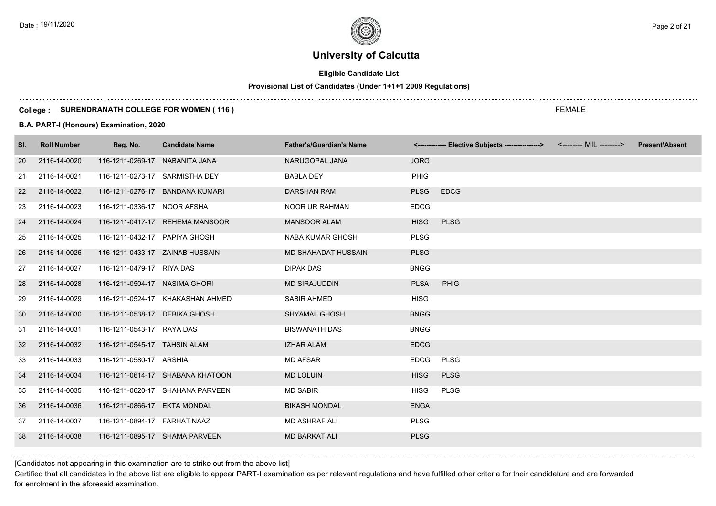# **Eligible Candidate List**

# **Provisional List of Candidates (Under 1+1+1 2009 Regulations)**

#### **College : SURENDRANATH COLLEGE FOR WOMEN ( 116 )**

#### **B.A. PART-I (Honours) Examination, 2020**

| <b>Roll Number</b> | Reg. No. | <b>Candidate Name</b> | <b>Father's/Guardian's Name</b>                                                                                                                                                                                                                                                                                                                                                                                                                                                                                                                                                                                                                |             |             |             | <b>Present/Absent</b>                                                      |
|--------------------|----------|-----------------------|------------------------------------------------------------------------------------------------------------------------------------------------------------------------------------------------------------------------------------------------------------------------------------------------------------------------------------------------------------------------------------------------------------------------------------------------------------------------------------------------------------------------------------------------------------------------------------------------------------------------------------------------|-------------|-------------|-------------|----------------------------------------------------------------------------|
| 2116-14-0020       |          |                       | NARUGOPAL JANA                                                                                                                                                                                                                                                                                                                                                                                                                                                                                                                                                                                                                                 | <b>JORG</b> |             |             |                                                                            |
| 2116-14-0021       |          |                       | <b>BABLA DEY</b>                                                                                                                                                                                                                                                                                                                                                                                                                                                                                                                                                                                                                               | <b>PHIG</b> |             |             |                                                                            |
| 2116-14-0022       |          |                       | <b>DARSHAN RAM</b>                                                                                                                                                                                                                                                                                                                                                                                                                                                                                                                                                                                                                             | <b>PLSG</b> | <b>EDCG</b> |             |                                                                            |
| 2116-14-0023       |          |                       | <b>NOOR UR RAHMAN</b>                                                                                                                                                                                                                                                                                                                                                                                                                                                                                                                                                                                                                          | <b>EDCG</b> |             |             |                                                                            |
| 2116-14-0024       |          |                       | <b>MANSOOR ALAM</b>                                                                                                                                                                                                                                                                                                                                                                                                                                                                                                                                                                                                                            | <b>HISG</b> | <b>PLSG</b> |             |                                                                            |
| 2116-14-0025       |          |                       | <b>NABA KUMAR GHOSH</b>                                                                                                                                                                                                                                                                                                                                                                                                                                                                                                                                                                                                                        | <b>PLSG</b> |             |             |                                                                            |
| 2116-14-0026       |          |                       | MD SHAHADAT HUSSAIN                                                                                                                                                                                                                                                                                                                                                                                                                                                                                                                                                                                                                            | <b>PLSG</b> |             |             |                                                                            |
| 2116-14-0027       |          |                       | <b>DIPAK DAS</b>                                                                                                                                                                                                                                                                                                                                                                                                                                                                                                                                                                                                                               | <b>BNGG</b> |             |             |                                                                            |
| 2116-14-0028       |          |                       | <b>MD SIRAJUDDIN</b>                                                                                                                                                                                                                                                                                                                                                                                                                                                                                                                                                                                                                           | <b>PLSA</b> | PHIG        |             |                                                                            |
| 2116-14-0029       |          |                       | <b>SABIR AHMED</b>                                                                                                                                                                                                                                                                                                                                                                                                                                                                                                                                                                                                                             | <b>HISG</b> |             |             |                                                                            |
| 2116-14-0030       |          |                       | <b>SHYAMAL GHOSH</b>                                                                                                                                                                                                                                                                                                                                                                                                                                                                                                                                                                                                                           | <b>BNGG</b> |             |             |                                                                            |
| 2116-14-0031       |          |                       | <b>BISWANATH DAS</b>                                                                                                                                                                                                                                                                                                                                                                                                                                                                                                                                                                                                                           | <b>BNGG</b> |             |             |                                                                            |
| 2116-14-0032       |          |                       | <b>IZHAR ALAM</b>                                                                                                                                                                                                                                                                                                                                                                                                                                                                                                                                                                                                                              | <b>EDCG</b> |             |             |                                                                            |
| 2116-14-0033       |          |                       | <b>MD AFSAR</b>                                                                                                                                                                                                                                                                                                                                                                                                                                                                                                                                                                                                                                | <b>EDCG</b> |             |             |                                                                            |
| 2116-14-0034       |          |                       | <b>MD LOLUIN</b>                                                                                                                                                                                                                                                                                                                                                                                                                                                                                                                                                                                                                               | <b>HISG</b> | <b>PLSG</b> |             |                                                                            |
| 2116-14-0035       |          |                       | <b>MD SABIR</b>                                                                                                                                                                                                                                                                                                                                                                                                                                                                                                                                                                                                                                | <b>HISG</b> | <b>PLSG</b> |             |                                                                            |
| 2116-14-0036       |          |                       | <b>BIKASH MONDAL</b>                                                                                                                                                                                                                                                                                                                                                                                                                                                                                                                                                                                                                           | <b>ENGA</b> |             |             |                                                                            |
| 2116-14-0037       |          |                       | <b>MD ASHRAF ALI</b>                                                                                                                                                                                                                                                                                                                                                                                                                                                                                                                                                                                                                           | <b>PLSG</b> |             |             |                                                                            |
| 2116-14-0038       |          |                       | <b>MD BARKAT ALI</b>                                                                                                                                                                                                                                                                                                                                                                                                                                                                                                                                                                                                                           | <b>PLSG</b> |             |             |                                                                            |
|                    |          |                       | 116-1211-0269-17 NABANITA JANA<br>116-1211-0273-17 SARMISTHA DEY<br>116-1211-0276-17 BANDANA KUMARI<br>116-1211-0336-17 NOOR AFSHA<br>116-1211-0417-17 REHEMA MANSOOR<br>116-1211-0432-17 PAPIYA GHOSH<br>116-1211-0433-17 ZAINAB HUSSAIN<br>116-1211-0479-17 RIYA DAS<br>116-1211-0504-17 NASIMA GHORI<br>116-1211-0524-17 KHAKASHAN AHMED<br>116-1211-0538-17 DEBIKA GHOSH<br>116-1211-0543-17 RAYA DAS<br>116-1211-0545-17 TAHSIN ALAM<br>116-1211-0580-17 ARSHIA<br>116-1211-0614-17 SHABANA KHATOON<br>116-1211-0620-17 SHAHANA PARVEEN<br>116-1211-0866-17 EKTA MONDAL<br>116-1211-0894-17 FARHAT NAAZ<br>116-1211-0895-17 SHAMA PARVEEN |             |             | <b>PLSG</b> | <------------- Elective Subjects ----------------> <-------- MIL --------> |

[Candidates not appearing in this examination are to strike out from the above list]

Certified that all candidates in the above list are eligible to appear PART-I examination as per relevant regulations and have fulfilled other criteria for their candidature and are forwarded for enrolment in the aforesaid examination.

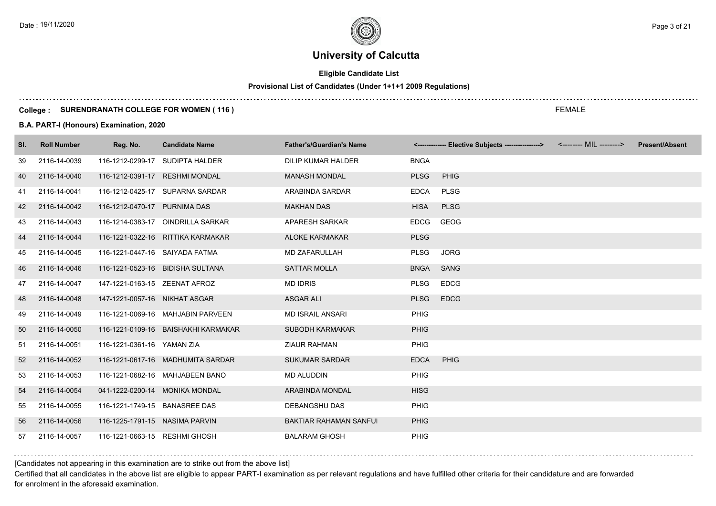# **Eligible Candidate List**

# **Provisional List of Candidates (Under 1+1+1 2009 Regulations)**

#### **College : SURENDRANATH COLLEGE FOR WOMEN ( 116 )**

#### **B.A. PART-I (Honours) Examination, 2020**

| SI. | <b>Roll Number</b> | Reg. No.                       | <b>Candidate Name</b>               | <b>Father's/Guardian's Name</b> |             | <------------- Elective Subjects ---------------> <-------- MIL --------> | <b>Present/Absent</b> |
|-----|--------------------|--------------------------------|-------------------------------------|---------------------------------|-------------|---------------------------------------------------------------------------|-----------------------|
| 39  | 2116-14-0039       | 116-1212-0299-17               | SUDIPTA HALDER                      | DILIP KUMAR HALDER              | <b>BNGA</b> |                                                                           |                       |
| 40  | 2116-14-0040       | 116-1212-0391-17 RESHMI MONDAL |                                     | <b>MANASH MONDAL</b>            | <b>PLSG</b> | PHIG                                                                      |                       |
| 41  | 2116-14-0041       |                                | 116-1212-0425-17 SUPARNA SARDAR     | ARABINDA SARDAR                 | <b>EDCA</b> | PLSG                                                                      |                       |
| 42  | 2116-14-0042       | 116-1212-0470-17 PURNIMA DAS   |                                     | <b>MAKHAN DAS</b>               | <b>HISA</b> | <b>PLSG</b>                                                               |                       |
| 43  | 2116-14-0043       |                                | 116-1214-0383-17 OINDRILLA SARKAR   | APARESH SARKAR                  | <b>EDCG</b> | GEOG                                                                      |                       |
| 44  | 2116-14-0044       |                                | 116-1221-0322-16 RITTIKA KARMAKAR   | <b>ALOKE KARMAKAR</b>           | <b>PLSG</b> |                                                                           |                       |
| 45  | 2116-14-0045       | 116-1221-0447-16 SAIYADA FATMA |                                     | <b>MD ZAFARULLAH</b>            | <b>PLSG</b> | <b>JORG</b>                                                               |                       |
| 46  | 2116-14-0046       |                                | 116-1221-0523-16 BIDISHA SULTANA    | <b>SATTAR MOLLA</b>             | <b>BNGA</b> | <b>SANG</b>                                                               |                       |
| 47  | 2116-14-0047       | 147-1221-0163-15 ZEENAT AFROZ  |                                     | <b>MD IDRIS</b>                 | <b>PLSG</b> | <b>EDCG</b>                                                               |                       |
| 48  | 2116-14-0048       | 147-1221-0057-16 NIKHAT ASGAR  |                                     | <b>ASGAR ALI</b>                | <b>PLSG</b> | <b>EDCG</b>                                                               |                       |
| 49  | 2116-14-0049       |                                | 116-1221-0069-16 MAHJABIN PARVEEN   | <b>MD ISRAIL ANSARI</b>         | <b>PHIG</b> |                                                                           |                       |
| 50  | 2116-14-0050       |                                | 116-1221-0109-16 BAISHAKHI KARMAKAR | <b>SUBODH KARMAKAR</b>          | <b>PHIG</b> |                                                                           |                       |
| 51  | 2116-14-0051       | 116-1221-0361-16 YAMAN ZIA     |                                     | <b>ZIAUR RAHMAN</b>             | <b>PHIG</b> |                                                                           |                       |
| 52  | 2116-14-0052       |                                | 116-1221-0617-16 MADHUMITA SARDAR   | <b>SUKUMAR SARDAR</b>           | <b>EDCA</b> | PHIG                                                                      |                       |
| 53  | 2116-14-0053       |                                | 116-1221-0682-16 MAHJABEEN BANO     | <b>MD ALUDDIN</b>               | <b>PHIG</b> |                                                                           |                       |
| 54  | 2116-14-0054       | 041-1222-0200-14 MONIKA MONDAL |                                     | ARABINDA MONDAL                 | <b>HISG</b> |                                                                           |                       |
| 55  | 2116-14-0055       | 116-1221-1749-15 BANASREE DAS  |                                     | DEBANGSHU DAS                   | PHIG        |                                                                           |                       |
| 56  | 2116-14-0056       | 116-1225-1791-15 NASIMA PARVIN |                                     | <b>BAKTIAR RAHAMAN SANFUL</b>   | <b>PHIG</b> |                                                                           |                       |
| 57  | 2116-14-0057       | 116-1221-0663-15 RESHMI GHOSH  |                                     | <b>BALARAM GHOSH</b>            | <b>PHIG</b> |                                                                           |                       |

[Candidates not appearing in this examination are to strike out from the above list]

Certified that all candidates in the above list are eligible to appear PART-I examination as per relevant regulations and have fulfilled other criteria for their candidature and are forwarded for enrolment in the aforesaid examination.

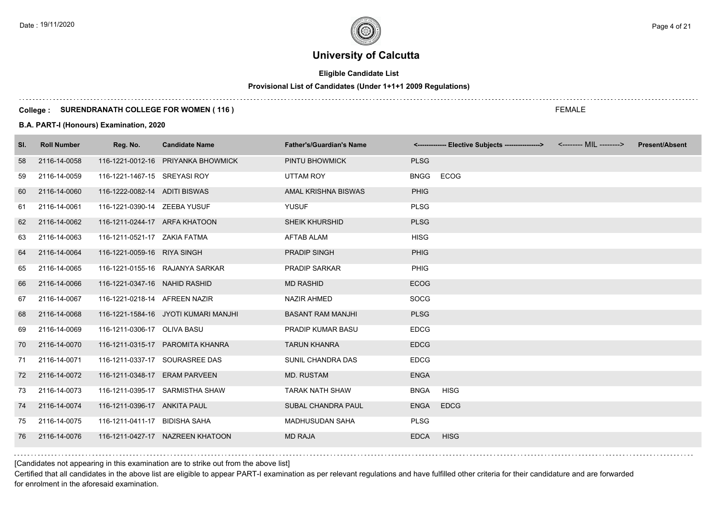# **Eligible Candidate List**

# **Provisional List of Candidates (Under 1+1+1 2009 Regulations)**

#### **College : SURENDRANATH COLLEGE FOR WOMEN ( 116 )**

#### **B.A. PART-I (Honours) Examination, 2020**

| SI. | <b>Roll Number</b> | Reg. No.                      | <b>Candidate Name</b>                | <b>Father's/Guardian's Name</b> |             | <------------- Elective Subjects ----------------> <-------- MIL --------> | <b>Present/Absent</b> |
|-----|--------------------|-------------------------------|--------------------------------------|---------------------------------|-------------|----------------------------------------------------------------------------|-----------------------|
| 58  | 2116-14-0058       |                               | 116-1221-0012-16 PRIYANKA BHOWMICK   | PINTU BHOWMICK                  | <b>PLSG</b> |                                                                            |                       |
| 59  | 2116-14-0059       | 116-1221-1467-15 SREYASI ROY  |                                      | UTTAM ROY                       | <b>BNGG</b> | ECOG                                                                       |                       |
| 60  | 2116-14-0060       | 116-1222-0082-14 ADITI BISWAS |                                      | AMAL KRISHNA BISWAS             | <b>PHIG</b> |                                                                            |                       |
| 61  | 2116-14-0061       | 116-1221-0390-14 ZEEBA YUSUF  |                                      | <b>YUSUF</b>                    | <b>PLSG</b> |                                                                            |                       |
| 62  | 2116-14-0062       | 116-1211-0244-17 ARFA KHATOON |                                      | <b>SHEIK KHURSHID</b>           | <b>PLSG</b> |                                                                            |                       |
| 63  | 2116-14-0063       | 116-1211-0521-17 ZAKIA FATMA  |                                      | <b>AFTAB ALAM</b>               | <b>HISG</b> |                                                                            |                       |
| 64  | 2116-14-0064       | 116-1221-0059-16 RIYA SINGH   |                                      | <b>PRADIP SINGH</b>             | <b>PHIG</b> |                                                                            |                       |
| 65  | 2116-14-0065       |                               | 116-1221-0155-16 RAJANYA SARKAR      | <b>PRADIP SARKAR</b>            | <b>PHIG</b> |                                                                            |                       |
| 66  | 2116-14-0066       | 116-1221-0347-16 NAHID RASHID |                                      | <b>MD RASHID</b>                | <b>ECOG</b> |                                                                            |                       |
| 67  | 2116-14-0067       | 116-1221-0218-14 AFREEN NAZIR |                                      | <b>NAZIR AHMED</b>              | <b>SOCG</b> |                                                                            |                       |
| 68  | 2116-14-0068       |                               | 116-1221-1584-16 JYOTI KUMARI MANJHI | <b>BASANT RAM MANJHI</b>        | <b>PLSG</b> |                                                                            |                       |
| 69  | 2116-14-0069       | 116-1211-0306-17 OLIVA BASU   |                                      | <b>PRADIP KUMAR BASU</b>        | <b>EDCG</b> |                                                                            |                       |
| 70  | 2116-14-0070       |                               | 116-1211-0315-17 PAROMITA KHANRA     | <b>TARUN KHANRA</b>             | <b>EDCG</b> |                                                                            |                       |
| 71  | 2116-14-0071       |                               | 116-1211-0337-17 SOURASREE DAS       | SUNIL CHANDRA DAS               | <b>EDCG</b> |                                                                            |                       |
| 72  | 2116-14-0072       | 116-1211-0348-17 ERAM PARVEEN |                                      | <b>MD. RUSTAM</b>               | <b>ENGA</b> |                                                                            |                       |
| 73  | 2116-14-0073       |                               | 116-1211-0395-17 SARMISTHA SHAW      | <b>TARAK NATH SHAW</b>          | <b>BNGA</b> | <b>HISG</b>                                                                |                       |
| 74  | 2116-14-0074       | 116-1211-0396-17 ANKITA PAUL  |                                      | SUBAL CHANDRA PAUL              | <b>ENGA</b> | <b>EDCG</b>                                                                |                       |
| 75  | 2116-14-0075       | 116-1211-0411-17 BIDISHA SAHA |                                      | <b>MADHUSUDAN SAHA</b>          | <b>PLSG</b> |                                                                            |                       |
| 76  | 2116-14-0076       |                               | 116-1211-0427-17 NAZREEN KHATOON     | <b>MD RAJA</b>                  | <b>EDCA</b> | <b>HISG</b>                                                                |                       |

[Candidates not appearing in this examination are to strike out from the above list]

Certified that all candidates in the above list are eligible to appear PART-I examination as per relevant regulations and have fulfilled other criteria for their candidature and are forwarded for enrolment in the aforesaid examination.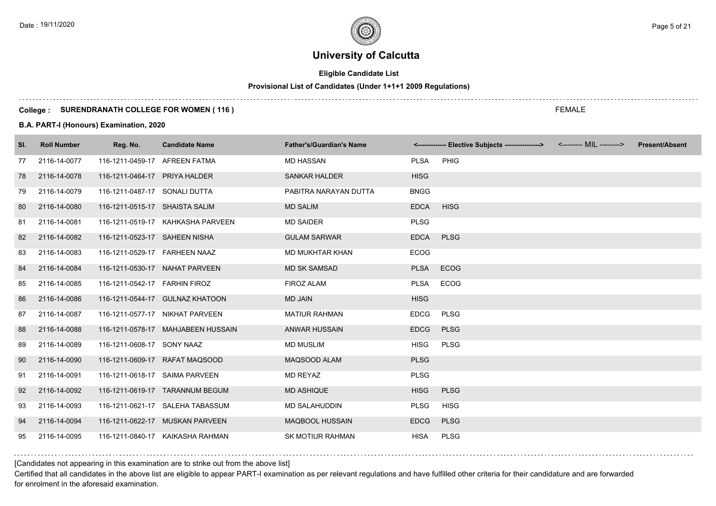# **Eligible Candidate List**

# **Provisional List of Candidates (Under 1+1+1 2009 Regulations)**

#### **College : SURENDRANATH COLLEGE FOR WOMEN ( 116 )**

#### **B.A. PART-I (Honours) Examination, 2020**

| SI. | <b>Roll Number</b> | Reg. No.                         | <b>Candidate Name</b>              | <b>Father's/Guardian's Name</b> |             | <------------- Elective Subjects ----------------> <-------- MIL --------> | <b>Present/Absent</b> |
|-----|--------------------|----------------------------------|------------------------------------|---------------------------------|-------------|----------------------------------------------------------------------------|-----------------------|
| 77  | 2116-14-0077       | 116-1211-0459-17 AFREEN FATMA    |                                    | <b>MD HASSAN</b>                | <b>PLSA</b> | PHIG                                                                       |                       |
| 78  | 2116-14-0078       | 116-1211-0464-17 PRIYA HALDER    |                                    | <b>SANKAR HALDER</b>            | <b>HISG</b> |                                                                            |                       |
| 79  | 2116-14-0079       | 116-1211-0487-17 SONALI DUTTA    |                                    | PABITRA NARAYAN DUTTA           | <b>BNGG</b> |                                                                            |                       |
| 80  | 2116-14-0080       | 116-1211-0515-17 SHAISTA SALIM   |                                    | <b>MD SALIM</b>                 | <b>EDCA</b> | <b>HISG</b>                                                                |                       |
| 81  | 2116-14-0081       |                                  | 116-1211-0519-17 KAHKASHA PARVEEN  | <b>MD SAIDER</b>                | <b>PLSG</b> |                                                                            |                       |
| 82  | 2116-14-0082       | 116-1211-0523-17 SAHEEN NISHA    |                                    | <b>GULAM SARWAR</b>             | <b>EDCA</b> | <b>PLSG</b>                                                                |                       |
| 83  | 2116-14-0083       | 116-1211-0529-17 FARHEEN NAAZ    |                                    | <b>MD MUKHTAR KHAN</b>          | <b>ECOG</b> |                                                                            |                       |
| 84  | 2116-14-0084       |                                  | 116-1211-0530-17 NAHAT PARVEEN     | <b>MD SK SAMSAD</b>             | <b>PLSA</b> | <b>ECOG</b>                                                                |                       |
| 85  | 2116-14-0085       | 116-1211-0542-17    FARHIN FIROZ |                                    | <b>FIROZ ALAM</b>               | <b>PLSA</b> | <b>ECOG</b>                                                                |                       |
| 86  | 2116-14-0086       |                                  | 116-1211-0544-17 GULNAZ KHATOON    | <b>MD JAIN</b>                  | <b>HISG</b> |                                                                            |                       |
| 87  | 2116-14-0087       |                                  | 116-1211-0577-17 NIKHAT PARVEEN    | <b>MATIUR RAHMAN</b>            | <b>EDCG</b> | <b>PLSG</b>                                                                |                       |
| 88  | 2116-14-0088       |                                  | 116-1211-0578-17 MAHJABEEN HUSSAIN | <b>ANWAR HUSSAIN</b>            | <b>EDCG</b> | <b>PLSG</b>                                                                |                       |
| 89  | 2116-14-0089       | 116-1211-0608-17 SONY NAAZ       |                                    | <b>MD MUSLIM</b>                | <b>HISG</b> | <b>PLSG</b>                                                                |                       |
| 90  | 2116-14-0090       |                                  | 116-1211-0609-17 RAFAT MAQSOOD     | MAQSOOD ALAM                    | <b>PLSG</b> |                                                                            |                       |
| 91  | 2116-14-0091       | 116-1211-0618-17 SAIMA PARVEEN   |                                    | <b>MD REYAZ</b>                 | <b>PLSG</b> |                                                                            |                       |
| 92  | 2116-14-0092       |                                  | 116-1211-0619-17 TARANNUM BEGUM    | <b>MD ASHIQUE</b>               | <b>HISG</b> | <b>PLSG</b>                                                                |                       |
| 93  | 2116-14-0093       |                                  | 116-1211-0621-17 SALEHA TABASSUM   | <b>MD SALAHUDDIN</b>            | <b>PLSG</b> | <b>HISG</b>                                                                |                       |
| 94  | 2116-14-0094       |                                  | 116-1211-0622-17 MUSKAN PARVEEN    | <b>MAQBOOL HUSSAIN</b>          | <b>EDCG</b> | <b>PLSG</b>                                                                |                       |
| 95  | 2116-14-0095       |                                  | 116-1211-0840-17 KAIKASHA RAHMAN   | <b>SK MOTIUR RAHMAN</b>         | <b>HISA</b> | <b>PLSG</b>                                                                |                       |

[Candidates not appearing in this examination are to strike out from the above list]

Certified that all candidates in the above list are eligible to appear PART-I examination as per relevant regulations and have fulfilled other criteria for their candidature and are forwarded for enrolment in the aforesaid examination.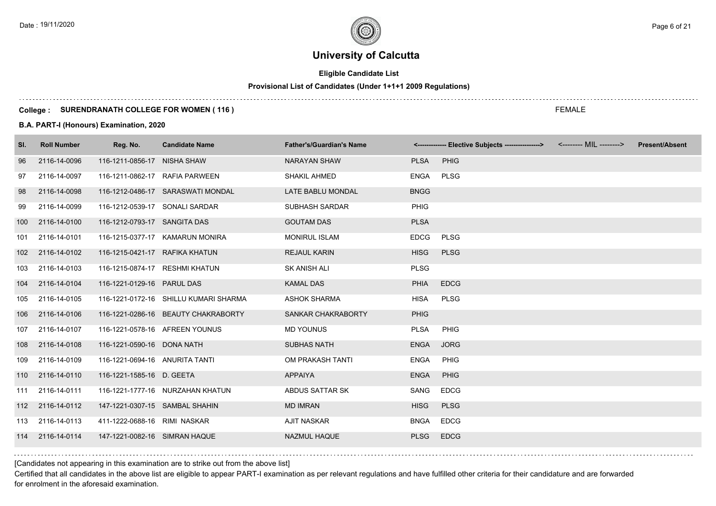# **Eligible Candidate List**

# **Provisional List of Candidates (Under 1+1+1 2009 Regulations)**

#### **College : SURENDRANATH COLLEGE FOR WOMEN ( 116 )**

#### **B.A. PART-I (Honours) Examination, 2020**

| SI.              | <b>Roll Number</b> | Reg. No.                       | <b>Candidate Name</b>                 | <b>Father's/Guardian's Name</b> |             | <------------- Elective Subjects ----------------> <-------- MIL --------> | <b>Present/Absent</b> |
|------------------|--------------------|--------------------------------|---------------------------------------|---------------------------------|-------------|----------------------------------------------------------------------------|-----------------------|
| 96               | 2116-14-0096       | 116-1211-0856-17 NISHA SHAW    |                                       | <b>NARAYAN SHAW</b>             | <b>PLSA</b> | PHIG                                                                       |                       |
| 97               | 2116-14-0097       | 116-1211-0862-17 RAFIA PARWEEN |                                       | SHAKIL AHMED                    | <b>ENGA</b> | <b>PLSG</b>                                                                |                       |
| 98               | 2116-14-0098       |                                | 116-1212-0486-17 SARASWATI MONDAL     | LATE BABLU MONDAL               | <b>BNGG</b> |                                                                            |                       |
| 99               | 2116-14-0099       | 116-1212-0539-17 SONALI SARDAR |                                       | SUBHASH SARDAR                  | PHIG        |                                                                            |                       |
| 100              | 2116-14-0100       | 116-1212-0793-17 SANGITA DAS   |                                       | <b>GOUTAM DAS</b>               | <b>PLSA</b> |                                                                            |                       |
| 101              | 2116-14-0101       |                                | 116-1215-0377-17 KAMARUN MONIRA       | <b>MONIRUL ISLAM</b>            | <b>EDCG</b> | <b>PLSG</b>                                                                |                       |
| 102 <sub>1</sub> | 2116-14-0102       | 116-1215-0421-17 RAFIKA KHATUN |                                       | <b>REJAUL KARIN</b>             | <b>HISG</b> | <b>PLSG</b>                                                                |                       |
| 103              | 2116-14-0103       | 116-1215-0874-17 RESHMI KHATUN |                                       | SK ANISH ALI                    | <b>PLSG</b> |                                                                            |                       |
| 104              | 2116-14-0104       | 116-1221-0129-16 PARUL DAS     |                                       | <b>KAMAL DAS</b>                | <b>PHIA</b> | <b>EDCG</b>                                                                |                       |
| 105              | 2116-14-0105       |                                | 116-1221-0172-16 SHILLU KUMARI SHARMA | <b>ASHOK SHARMA</b>             | <b>HISA</b> | <b>PLSG</b>                                                                |                       |
| 106              | 2116-14-0106       |                                | 116-1221-0286-16 BEAUTY CHAKRABORTY   | SANKAR CHAKRABORTY              | <b>PHIG</b> |                                                                            |                       |
| 107              | 2116-14-0107       |                                | 116-1221-0578-16 AFREEN YOUNUS        | <b>MD YOUNUS</b>                | <b>PLSA</b> | PHIG                                                                       |                       |
| 108              | 2116-14-0108       | 116-1221-0590-16 DONA NATH     |                                       | <b>SUBHAS NATH</b>              | <b>ENGA</b> | <b>JORG</b>                                                                |                       |
| 109              | 2116-14-0109       | 116-1221-0694-16 ANURITA TANTI |                                       | OM PRAKASH TANTI                | <b>ENGA</b> | <b>PHIG</b>                                                                |                       |
|                  | 110 2116-14-0110   | 116-1221-1585-16 D. GEETA      |                                       | APPAIYA                         | <b>ENGA</b> | <b>PHIG</b>                                                                |                       |
|                  | 111 2116-14-0111   |                                | 116-1221-1777-16 NURZAHAN KHATUN      | ABDUS SATTAR SK                 | SANG        | <b>EDCG</b>                                                                |                       |
|                  | 112 2116-14-0112   | 147-1221-0307-15 SAMBAL SHAHIN |                                       | <b>MD IMRAN</b>                 | <b>HISG</b> | <b>PLSG</b>                                                                |                       |
| 113              | 2116-14-0113       | 411-1222-0688-16 RIMI NASKAR   |                                       | <b>AJIT NASKAR</b>              | <b>BNGA</b> | <b>EDCG</b>                                                                |                       |
|                  | 114 2116-14-0114   | 147-1221-0082-16 SIMRAN HAQUE  |                                       | <b>NAZMUL HAQUE</b>             | <b>PLSG</b> | <b>EDCG</b>                                                                |                       |

[Candidates not appearing in this examination are to strike out from the above list]

Certified that all candidates in the above list are eligible to appear PART-I examination as per relevant regulations and have fulfilled other criteria for their candidature and are forwarded for enrolment in the aforesaid examination.

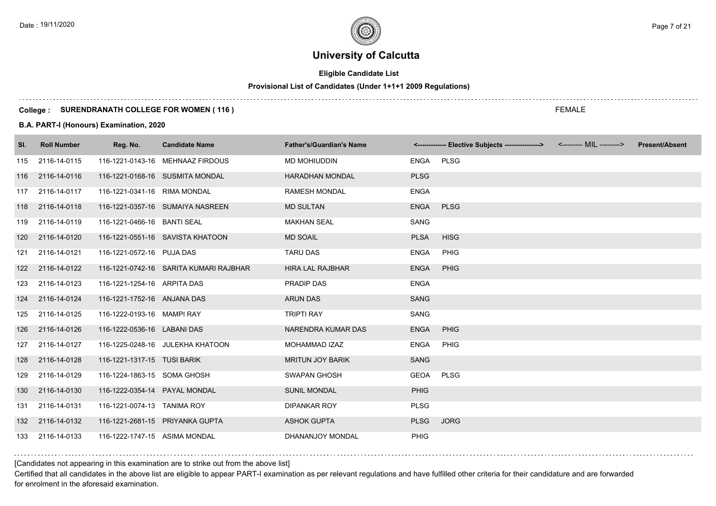# **Eligible Candidate List**

# **Provisional List of Candidates (Under 1+1+1 2009 Regulations)**

#### **College : SURENDRANATH COLLEGE FOR WOMEN ( 116 )**

#### **B.A. PART-I (Honours) Examination, 2020**

| SI. | <b>Roll Number</b> | Reg. No.                      | <b>Candidate Name</b>                  | <b>Father's/Guardian's Name</b> |             | <------------- Elective Subjects ----------------> <-------- MIL --------> | <b>Present/Absent</b> |
|-----|--------------------|-------------------------------|----------------------------------------|---------------------------------|-------------|----------------------------------------------------------------------------|-----------------------|
| 115 | 2116-14-0115       |                               | 116-1221-0143-16 MEHNAAZ FIRDOUS       | MD MOHIUDDIN                    | <b>ENGA</b> | <b>PLSG</b>                                                                |                       |
|     | 116 2116-14-0116   |                               | 116-1221-0168-16 SUSMITA MONDAL        | <b>HARADHAN MONDAL</b>          | <b>PLSG</b> |                                                                            |                       |
| 117 | 2116-14-0117       | 116-1221-0341-16 RIMA MONDAL  |                                        | <b>RAMESH MONDAL</b>            | <b>ENGA</b> |                                                                            |                       |
| 118 | 2116-14-0118       |                               | 116-1221-0357-16 SUMAIYA NASREEN       | <b>MD SULTAN</b>                | <b>ENGA</b> | <b>PLSG</b>                                                                |                       |
| 119 | 2116-14-0119       | 116-1221-0466-16 BANTI SEAL   |                                        | <b>MAKHAN SEAL</b>              | <b>SANG</b> |                                                                            |                       |
| 120 | 2116-14-0120       |                               | 116-1221-0551-16 SAVISTA KHATOON       | <b>MD SOAIL</b>                 | <b>PLSA</b> | <b>HISG</b>                                                                |                       |
| 121 | 2116-14-0121       | 116-1221-0572-16 PUJA DAS     |                                        | <b>TARU DAS</b>                 | <b>ENGA</b> | <b>PHIG</b>                                                                |                       |
|     | 122 2116-14-0122   |                               | 116-1221-0742-16 SARITA KUMARI RAJBHAR | <b>HIRA LAL RAJBHAR</b>         | <b>ENGA</b> | PHIG                                                                       |                       |
| 123 | 2116-14-0123       | 116-1221-1254-16 ARPITA DAS   |                                        | <b>PRADIP DAS</b>               | <b>ENGA</b> |                                                                            |                       |
| 124 | 2116-14-0124       | 116-1221-1752-16 ANJANA DAS   |                                        | <b>ARUN DAS</b>                 | <b>SANG</b> |                                                                            |                       |
| 125 | 2116-14-0125       | 116-1222-0193-16 MAMPI RAY    |                                        | <b>TRIPTI RAY</b>               | <b>SANG</b> |                                                                            |                       |
| 126 | 2116-14-0126       | 116-1222-0536-16 LABANI DAS   |                                        | NARENDRA KUMAR DAS              | <b>ENGA</b> | PHIG                                                                       |                       |
| 127 | 2116-14-0127       |                               | 116-1225-0248-16 JULEKHA KHATOON       | MOHAMMAD IZAZ                   | <b>ENGA</b> | <b>PHIG</b>                                                                |                       |
| 128 | 2116-14-0128       | 116-1221-1317-15 TUSI BARIK   |                                        | <b>MRITUN JOY BARIK</b>         | <b>SANG</b> |                                                                            |                       |
| 129 | 2116-14-0129       | 116-1224-1863-15 SOMA GHOSH   |                                        | <b>SWAPAN GHOSH</b>             | <b>GEOA</b> | <b>PLSG</b>                                                                |                       |
| 130 | 2116-14-0130       | 116-1222-0354-14 PAYAL MONDAL |                                        | <b>SUNIL MONDAL</b>             | <b>PHIG</b> |                                                                            |                       |
| 131 | 2116-14-0131       | 116-1221-0074-13 TANIMA ROY   |                                        | <b>DIPANKAR ROY</b>             | <b>PLSG</b> |                                                                            |                       |
|     | 132 2116-14-0132   |                               | 116-1221-2681-15 PRIYANKA GUPTA        | <b>ASHOK GUPTA</b>              | <b>PLSG</b> | <b>JORG</b>                                                                |                       |
| 133 | 2116-14-0133       | 116-1222-1747-15 ASIMA MONDAL |                                        | DHANANJOY MONDAL                | <b>PHIG</b> |                                                                            |                       |

### [Candidates not appearing in this examination are to strike out from the above list]

Certified that all candidates in the above list are eligible to appear PART-I examination as per relevant regulations and have fulfilled other criteria for their candidature and are forwarded for enrolment in the aforesaid examination.

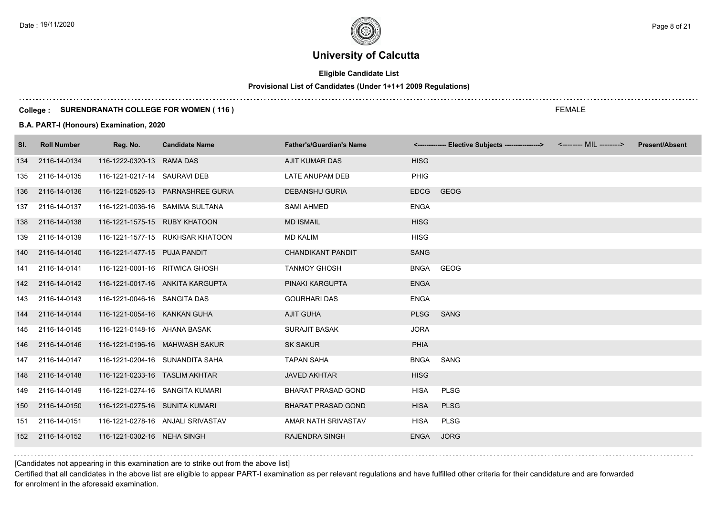# **Eligible Candidate List**

#### **Provisional List of Candidates (Under 1+1+1 2009 Regulations)**

#### **College : SURENDRANATH COLLEGE FOR WOMEN ( 116 )**

#### **B.A. PART-I (Honours) Examination, 2020**

| SI. | <b>Roll Number</b> | Reg. No.                        | <b>Candidate Name</b>             | <b>Father's/Guardian's Name</b> |             | <------------- Elective Subjects ----------------> | <b>Present/Absent</b> |
|-----|--------------------|---------------------------------|-----------------------------------|---------------------------------|-------------|----------------------------------------------------|-----------------------|
| 134 | 2116-14-0134       | 116-1222-0320-13 RAMA DAS       |                                   | <b>AJIT KUMAR DAS</b>           | <b>HISG</b> |                                                    |                       |
| 135 | 2116-14-0135       | 116-1221-0217-14 SAURAVI DEB    |                                   | LATE ANUPAM DEB                 | <b>PHIG</b> |                                                    |                       |
| 136 | 2116-14-0136       |                                 | 116-1221-0526-13 PARNASHREE GURIA | <b>DEBANSHU GURIA</b>           | <b>EDCG</b> | <b>GEOG</b>                                        |                       |
| 137 | 2116-14-0137       |                                 | 116-1221-0036-16 SAMIMA SULTANA   | <b>SAMI AHMED</b>               | <b>ENGA</b> |                                                    |                       |
| 138 | 2116-14-0138       | 116-1221-1575-15 RUBY KHATOON   |                                   | <b>MD ISMAIL</b>                | <b>HISG</b> |                                                    |                       |
| 139 | 2116-14-0139       |                                 | 116-1221-1577-15 RUKHSAR KHATOON  | <b>MD KALIM</b>                 | <b>HISG</b> |                                                    |                       |
|     | 140 2116-14-0140   | 116-1221-1477-15 PUJA PANDIT    |                                   | <b>CHANDIKANT PANDIT</b>        | SANG        |                                                    |                       |
| 141 | 2116-14-0141       | 116-1221-0001-16 RITWICA GHOSH  |                                   | <b>TANMOY GHOSH</b>             | <b>BNGA</b> | GEOG                                               |                       |
|     | 142 2116-14-0142   |                                 | 116-1221-0017-16 ANKITA KARGUPTA  | PINAKI KARGUPTA                 | <b>ENGA</b> |                                                    |                       |
| 143 | 2116-14-0143       | 116-1221-0046-16 SANGITA DAS    |                                   | <b>GOURHARI DAS</b>             | <b>ENGA</b> |                                                    |                       |
| 144 | 2116-14-0144       | 116-1221-0054-16 KANKAN GUHA    |                                   | <b>AJIT GUHA</b>                | <b>PLSG</b> | SANG                                               |                       |
| 145 | 2116-14-0145       | 116-1221-0148-16 AHANA BASAK    |                                   | <b>SURAJIT BASAK</b>            | <b>JORA</b> |                                                    |                       |
| 146 | 2116-14-0146       |                                 | 116-1221-0196-16 MAHWASH SAKUR    | <b>SK SAKUR</b>                 | <b>PHIA</b> |                                                    |                       |
| 147 | 2116-14-0147       |                                 | 116-1221-0204-16 SUNANDITA SAHA   | <b>TAPAN SAHA</b>               | <b>BNGA</b> | SANG                                               |                       |
| 148 | 2116-14-0148       | 116-1221-0233-16 TASLIM AKHTAR  |                                   | <b>JAVED AKHTAR</b>             | <b>HISG</b> |                                                    |                       |
| 149 | 2116-14-0149       | 116-1221-0274-16 SANGITA KUMARI |                                   | <b>BHARAT PRASAD GOND</b>       | <b>HISA</b> | <b>PLSG</b>                                        |                       |
| 150 | 2116-14-0150       | 116-1221-0275-16 SUNITA KUMARI  |                                   | <b>BHARAT PRASAD GOND</b>       | <b>HISA</b> | <b>PLSG</b>                                        |                       |
| 151 | 2116-14-0151       |                                 | 116-1221-0278-16 ANJALI SRIVASTAV | AMAR NATH SRIVASTAV             | <b>HISA</b> | <b>PLSG</b>                                        |                       |
| 152 | 2116-14-0152       | 116-1221-0302-16 NEHA SINGH     |                                   | <b>RAJENDRA SINGH</b>           | <b>ENGA</b> | <b>JORG</b>                                        |                       |

[Candidates not appearing in this examination are to strike out from the above list]

Certified that all candidates in the above list are eligible to appear PART-I examination as per relevant regulations and have fulfilled other criteria for their candidature and are forwarded for enrolment in the aforesaid examination.

FEMALE

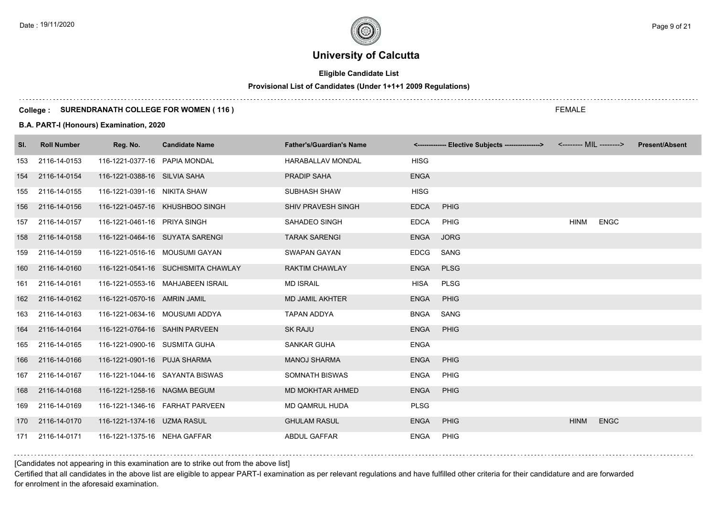# **Eligible Candidate List**

# **Provisional List of Candidates (Under 1+1+1 2009 Regulations)**

#### **College : SURENDRANATH COLLEGE FOR WOMEN ( 116 )**

#### **B.A. PART-I (Honours) Examination, 2020**

| SI. | <b>Roll Number</b> | Reg. No.                       | <b>Candidate Name</b>               | <b>Father's/Guardian's Name</b> |             | <------------- Elective Subjects ---------------> <-------- MIL --------> |             |             | <b>Present/Absent</b> |
|-----|--------------------|--------------------------------|-------------------------------------|---------------------------------|-------------|---------------------------------------------------------------------------|-------------|-------------|-----------------------|
| 153 | 2116-14-0153       | 116-1221-0377-16 PAPIA MONDAL  |                                     | HARABALLAV MONDAL               | <b>HISG</b> |                                                                           |             |             |                       |
| 154 | 2116-14-0154       | 116-1221-0388-16 SILVIA SAHA   |                                     | PRADIP SAHA                     | <b>ENGA</b> |                                                                           |             |             |                       |
| 155 | 2116-14-0155       | 116-1221-0391-16 NIKITA SHAW   |                                     | SUBHASH SHAW                    | <b>HISG</b> |                                                                           |             |             |                       |
| 156 | 2116-14-0156       |                                | 116-1221-0457-16 KHUSHBOO SINGH     | SHIV PRAVESH SINGH              | <b>EDCA</b> | PHIG                                                                      |             |             |                       |
| 157 | 2116-14-0157       | 116-1221-0461-16 PRIYA SINGH   |                                     | SAHADEO SINGH                   | <b>EDCA</b> | <b>PHIG</b>                                                               | <b>HINM</b> | <b>ENGC</b> |                       |
| 158 | 2116-14-0158       |                                | 116-1221-0464-16 SUYATA SARENGI     | <b>TARAK SARENGI</b>            | <b>ENGA</b> | <b>JORG</b>                                                               |             |             |                       |
| 159 | 2116-14-0159       |                                | 116-1221-0516-16 MOUSUMI GAYAN      | SWAPAN GAYAN                    | <b>EDCG</b> | SANG                                                                      |             |             |                       |
| 160 | 2116-14-0160       |                                | 116-1221-0541-16 SUCHISMITA CHAWLAY | <b>RAKTIM CHAWLAY</b>           | <b>ENGA</b> | <b>PLSG</b>                                                               |             |             |                       |
| 161 | 2116-14-0161       |                                | 116-1221-0553-16 MAHJABEEN ISRAIL   | <b>MD ISRAIL</b>                | HISA        | <b>PLSG</b>                                                               |             |             |                       |
| 162 | 2116-14-0162       | 116-1221-0570-16 AMRIN JAMIL   |                                     | <b>MD JAMIL AKHTER</b>          | <b>ENGA</b> | PHIG                                                                      |             |             |                       |
| 163 | 2116-14-0163       | 116-1221-0634-16 MOUSUMI ADDYA |                                     | <b>TAPAN ADDYA</b>              | <b>BNGA</b> | SANG                                                                      |             |             |                       |
| 164 | 2116-14-0164       | 116-1221-0764-16 SAHIN PARVEEN |                                     | <b>SK RAJU</b>                  | <b>ENGA</b> | PHIG                                                                      |             |             |                       |
| 165 | 2116-14-0165       | 116-1221-0900-16 SUSMITA GUHA  |                                     | SANKAR GUHA                     | <b>ENGA</b> |                                                                           |             |             |                       |
| 166 | 2116-14-0166       | 116-1221-0901-16 PUJA SHARMA   |                                     | <b>MANOJ SHARMA</b>             | <b>ENGA</b> | <b>PHIG</b>                                                               |             |             |                       |
| 167 | 2116-14-0167       |                                | 116-1221-1044-16 SAYANTA BISWAS     | SOMNATH BISWAS                  | <b>ENGA</b> | <b>PHIG</b>                                                               |             |             |                       |
| 168 | 2116-14-0168       | 116-1221-1258-16 NAGMA BEGUM   |                                     | MD MOKHTAR AHMED                | <b>ENGA</b> | <b>PHIG</b>                                                               |             |             |                       |
| 169 | 2116-14-0169       |                                | 116-1221-1346-16    FARHAT PARVEEN  | <b>MD QAMRUL HUDA</b>           | <b>PLSG</b> |                                                                           |             |             |                       |
| 170 | 2116-14-0170       | 116-1221-1374-16 UZMA RASUL    |                                     | <b>GHULAM RASUL</b>             | <b>ENGA</b> | PHIG                                                                      | <b>HINM</b> | <b>ENGC</b> |                       |
| 171 | 2116-14-0171       | 116-1221-1375-16 NEHA GAFFAR   |                                     | <b>ABDUL GAFFAR</b>             | <b>ENGA</b> | <b>PHIG</b>                                                               |             |             |                       |

[Candidates not appearing in this examination are to strike out from the above list]

Certified that all candidates in the above list are eligible to appear PART-I examination as per relevant regulations and have fulfilled other criteria for their candidature and are forwarded for enrolment in the aforesaid examination.

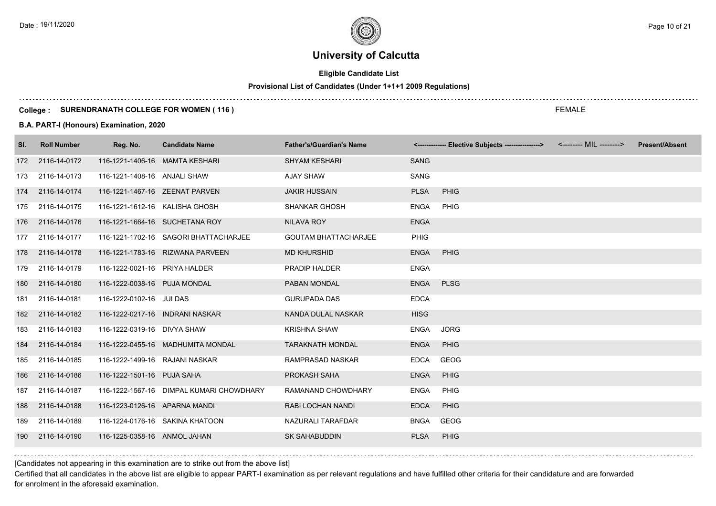# **Eligible Candidate List**

# **Provisional List of Candidates (Under 1+1+1 2009 Regulations)**

#### **College : SURENDRANATH COLLEGE FOR WOMEN ( 116 )**

#### **B.A. PART-I (Honours) Examination, 2020**

| SI. | <b>Roll Number</b> | Reg. No.                        | <b>Candidate Name</b>                    | <b>Father's/Guardian's Name</b> |             | <-------------- Elective Subjects ----------------> | <-------- MIL --------> | <b>Present/Absent</b> |
|-----|--------------------|---------------------------------|------------------------------------------|---------------------------------|-------------|-----------------------------------------------------|-------------------------|-----------------------|
|     | 172 2116-14-0172   | 116-1221-1406-16 MAMTA KESHARI  |                                          | <b>SHYAM KESHARI</b>            | <b>SANG</b> |                                                     |                         |                       |
| 173 | 2116-14-0173       | 116-1221-1408-16 ANJALI SHAW    |                                          | <b>AJAY SHAW</b>                | <b>SANG</b> |                                                     |                         |                       |
|     | 174 2116-14-0174   | 116-1221-1467-16 ZEENAT PARVEN  |                                          | <b>JAKIR HUSSAIN</b>            | <b>PLSA</b> | <b>PHIG</b>                                         |                         |                       |
|     | 175 2116-14-0175   | 116-1221-1612-16 KALISHA GHOSH  |                                          | <b>SHANKAR GHOSH</b>            | <b>ENGA</b> | PHIG                                                |                         |                       |
|     | 176 2116-14-0176   |                                 | 116-1221-1664-16 SUCHETANA ROY           | NILAVA ROY                      | <b>ENGA</b> |                                                     |                         |                       |
|     | 177 2116-14-0177   |                                 | 116-1221-1702-16 SAGORI BHATTACHARJEE    | <b>GOUTAM BHATTACHARJEE</b>     | <b>PHIG</b> |                                                     |                         |                       |
|     | 178 2116-14-0178   |                                 | 116-1221-1783-16 RIZWANA PARVEEN         | <b>MD KHURSHID</b>              | <b>ENGA</b> | <b>PHIG</b>                                         |                         |                       |
|     | 179 2116-14-0179   | 116-1222-0021-16 PRIYA HALDER   |                                          | PRADIP HALDER                   | <b>ENGA</b> |                                                     |                         |                       |
| 180 | 2116-14-0180       | 116-1222-0038-16 PUJA MONDAL    |                                          | PABAN MONDAL                    | <b>ENGA</b> | <b>PLSG</b>                                         |                         |                       |
| 181 | 2116-14-0181       | 116-1222-0102-16 JUI DAS        |                                          | <b>GURUPADA DAS</b>             | <b>EDCA</b> |                                                     |                         |                       |
|     | 182 2116-14-0182   | 116-1222-0217-16 INDRANI NASKAR |                                          | NANDA DULAL NASKAR              | <b>HISG</b> |                                                     |                         |                       |
| 183 | 2116-14-0183       | 116-1222-0319-16 DIVYA SHAW     |                                          | <b>KRISHNA SHAW</b>             | <b>ENGA</b> | <b>JORG</b>                                         |                         |                       |
| 184 | 2116-14-0184       |                                 | 116-1222-0455-16 MADHUMITA MONDAL        | <b>TARAKNATH MONDAL</b>         | <b>ENGA</b> | <b>PHIG</b>                                         |                         |                       |
| 185 | 2116-14-0185       | 116-1222-1499-16 RAJANI NASKAR  |                                          | RAMPRASAD NASKAR                | <b>EDCA</b> | GEOG                                                |                         |                       |
| 186 | 2116-14-0186       | 116-1222-1501-16 PUJA SAHA      |                                          | PROKASH SAHA                    | <b>ENGA</b> | <b>PHIG</b>                                         |                         |                       |
| 187 | 2116-14-0187       |                                 | 116-1222-1567-16 DIMPAL KUMARI CHOWDHARY | RAMANAND CHOWDHARY              | <b>ENGA</b> | <b>PHIG</b>                                         |                         |                       |
| 188 | 2116-14-0188       | 116-1223-0126-16 APARNA MANDI   |                                          | RABI LOCHAN NANDI               | <b>EDCA</b> | <b>PHIG</b>                                         |                         |                       |
| 189 | 2116-14-0189       |                                 | 116-1224-0176-16 SAKINA KHATOON          | NAZURALI TARAFDAR               | <b>BNGA</b> | GEOG                                                |                         |                       |
| 190 | 2116-14-0190       | 116-1225-0358-16 ANMOL JAHAN    |                                          | <b>SK SAHABUDDIN</b>            | <b>PLSA</b> | <b>PHIG</b>                                         |                         |                       |

[Candidates not appearing in this examination are to strike out from the above list]

Certified that all candidates in the above list are eligible to appear PART-I examination as per relevant regulations and have fulfilled other criteria for their candidature and are forwarded for enrolment in the aforesaid examination.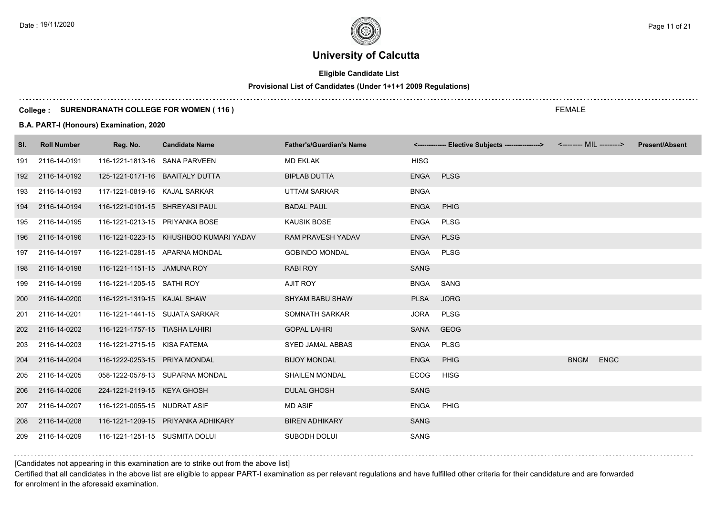# **Eligible Candidate List**

# **Provisional List of Candidates (Under 1+1+1 2009 Regulations)**

#### **College : SURENDRANATH COLLEGE FOR WOMEN ( 116 )**

#### **B.A. PART-I (Honours) Examination, 2020**

| SI. | <b>Roll Number</b> | Reg. No.                        | <b>Candidate Name</b>                  | <b>Father's/Guardian's Name</b> |             | <-------------- Elective Subjects ----------------> | <-------- MIL --------> |             | <b>Present/Absent</b> |
|-----|--------------------|---------------------------------|----------------------------------------|---------------------------------|-------------|-----------------------------------------------------|-------------------------|-------------|-----------------------|
| 191 | 2116-14-0191       | 116-1221-1813-16 SANA PARVEEN   |                                        | <b>MD EKLAK</b>                 | <b>HISG</b> |                                                     |                         |             |                       |
| 192 | 2116-14-0192       | 125-1221-0171-16 BAAITALY DUTTA |                                        | <b>BIPLAB DUTTA</b>             | <b>ENGA</b> | <b>PLSG</b>                                         |                         |             |                       |
| 193 | 2116-14-0193       | 117-1221-0819-16 KAJAL SARKAR   |                                        | UTTAM SARKAR                    | <b>BNGA</b> |                                                     |                         |             |                       |
| 194 | 2116-14-0194       | 116-1221-0101-15 SHREYASI PAUL  |                                        | <b>BADAL PAUL</b>               | <b>ENGA</b> | PHIG                                                |                         |             |                       |
| 195 | 2116-14-0195       | 116-1221-0213-15 PRIYANKA BOSE  |                                        | <b>KAUSIK BOSE</b>              | ENGA        | <b>PLSG</b>                                         |                         |             |                       |
| 196 | 2116-14-0196       |                                 | 116-1221-0223-15 KHUSHBOO KUMARI YADAV | <b>RAM PRAVESH YADAV</b>        | <b>ENGA</b> | <b>PLSG</b>                                         |                         |             |                       |
| 197 | 2116-14-0197       | 116-1221-0281-15 APARNA MONDAL  |                                        | <b>GOBINDO MONDAL</b>           | ENGA        | <b>PLSG</b>                                         |                         |             |                       |
| 198 | 2116-14-0198       | 116-1221-1151-15 JAMUNA ROY     |                                        | <b>RABI ROY</b>                 | <b>SANG</b> |                                                     |                         |             |                       |
| 199 | 2116-14-0199       | 116-1221-1205-15 SATHI ROY      |                                        | AJIT ROY                        | BNGA        | SANG                                                |                         |             |                       |
| 200 | 2116-14-0200       | 116-1221-1319-15 KAJAL SHAW     |                                        | <b>SHYAM BABU SHAW</b>          | <b>PLSA</b> | <b>JORG</b>                                         |                         |             |                       |
| 201 | 2116-14-0201       | 116-1221-1441-15 SUJATA SARKAR  |                                        | SOMNATH SARKAR                  | <b>JORA</b> | <b>PLSG</b>                                         |                         |             |                       |
| 202 | 2116-14-0202       | 116-1221-1757-15 TIASHA LAHIRI  |                                        | <b>GOPAL LAHIRI</b>             | SANA        | GEOG                                                |                         |             |                       |
| 203 | 2116-14-0203       | 116-1221-2715-15 KISA FATEMA    |                                        | SYED JAMAL ABBAS                | ENGA        | <b>PLSG</b>                                         |                         |             |                       |
| 204 | 2116-14-0204       | 116-1222-0253-15 PRIYA MONDAL   |                                        | <b>BIJOY MONDAL</b>             | <b>ENGA</b> | PHIG                                                | <b>BNGM</b>             | <b>ENGC</b> |                       |
| 205 | 2116-14-0205       |                                 | 058-1222-0578-13 SUPARNA MONDAL        | <b>SHAILEN MONDAL</b>           | <b>ECOG</b> | <b>HISG</b>                                         |                         |             |                       |
| 206 | 2116-14-0206       | 224-1221-2119-15 KEYA GHOSH     |                                        | <b>DULAL GHOSH</b>              | <b>SANG</b> |                                                     |                         |             |                       |
| 207 | 2116-14-0207       | 116-1221-0055-15 NUDRAT ASIF    |                                        | <b>MD ASIF</b>                  | <b>ENGA</b> | PHIG                                                |                         |             |                       |
| 208 | 2116-14-0208       |                                 | 116-1221-1209-15 PRIYANKA ADHIKARY     | <b>BIREN ADHIKARY</b>           | <b>SANG</b> |                                                     |                         |             |                       |
| 209 | 2116-14-0209       | 116-1221-1251-15 SUSMITA DOLUI  |                                        | SUBODH DOLUI                    | <b>SANG</b> |                                                     |                         |             |                       |

[Candidates not appearing in this examination are to strike out from the above list]

Certified that all candidates in the above list are eligible to appear PART-I examination as per relevant regulations and have fulfilled other criteria for their candidature and are forwarded for enrolment in the aforesaid examination.

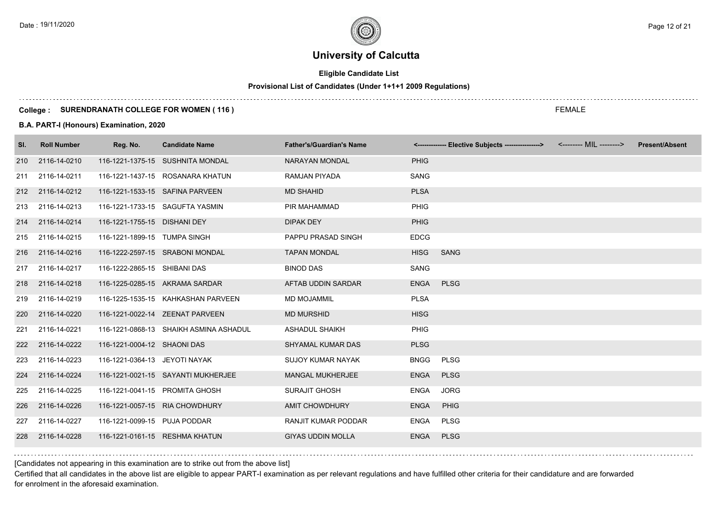# **Eligible Candidate List**

# **Provisional List of Candidates (Under 1+1+1 2009 Regulations)**

#### **College : SURENDRANATH COLLEGE FOR WOMEN ( 116 )**

#### **B.A. PART-I (Honours) Examination, 2020**

| SI. | <b>Roll Number</b> | Reg. No.                       | <b>Candidate Name</b>                  | <b>Father's/Guardian's Name</b> |             | <------------- Elective Subjects ----------------> | <-------- MIL --------> | <b>Present/Absent</b> |
|-----|--------------------|--------------------------------|----------------------------------------|---------------------------------|-------------|----------------------------------------------------|-------------------------|-----------------------|
|     | 210 2116-14-0210   |                                | 116-1221-1375-15 SUSHNITA MONDAL       | NARAYAN MONDAL                  | <b>PHIG</b> |                                                    |                         |                       |
| 211 | 2116-14-0211       |                                | 116-1221-1437-15 ROSANARA KHATUN       | <b>RAMJAN PIYADA</b>            | <b>SANG</b> |                                                    |                         |                       |
|     | 212 2116-14-0212   |                                | 116-1221-1533-15 SAFINA PARVEEN        | <b>MD SHAHID</b>                | <b>PLSA</b> |                                                    |                         |                       |
|     | 213 2116-14-0213   |                                | 116-1221-1733-15 SAGUFTA YASMIN        | PIR MAHAMMAD                    | <b>PHIG</b> |                                                    |                         |                       |
|     | 214 2116-14-0214   | 116-1221-1755-15 DISHANI DEY   |                                        | <b>DIPAK DEY</b>                | <b>PHIG</b> |                                                    |                         |                       |
|     | 215 2116-14-0215   | 116-1221-1899-15 TUMPA SINGH   |                                        | PAPPU PRASAD SINGH              | <b>EDCG</b> |                                                    |                         |                       |
|     | 216 2116-14-0216   |                                | 116-1222-2597-15 SRABONI MONDAL        | <b>TAPAN MONDAL</b>             | <b>HISG</b> | SANG                                               |                         |                       |
|     | 217 2116-14-0217   | 116-1222-2865-15 SHIBANI DAS   |                                        | <b>BINOD DAS</b>                | SANG        |                                                    |                         |                       |
|     | 218 2116-14-0218   |                                | 116-1225-0285-15 AKRAMA SARDAR         | AFTAB UDDIN SARDAR              | <b>ENGA</b> | <b>PLSG</b>                                        |                         |                       |
| 219 | 2116-14-0219       |                                | 116-1225-1535-15 KAHKASHAN PARVEEN     | <b>MD MOJAMMIL</b>              | <b>PLSA</b> |                                                    |                         |                       |
| 220 | 2116-14-0220       |                                | 116-1221-0022-14 ZEENAT PARVEEN        | <b>MD MURSHID</b>               | <b>HISG</b> |                                                    |                         |                       |
| 221 | 2116-14-0221       |                                | 116-1221-0868-13 SHAIKH ASMINA ASHADUL | <b>ASHADUL SHAIKH</b>           | <b>PHIG</b> |                                                    |                         |                       |
|     | 222 2116-14-0222   | 116-1221-0004-12 SHAONI DAS    |                                        | <b>SHYAMAL KUMAR DAS</b>        | <b>PLSG</b> |                                                    |                         |                       |
| 223 | 2116-14-0223       | 116-1221-0364-13 JEYOTI NAYAK  |                                        | <b>SUJOY KUMAR NAYAK</b>        | <b>BNGG</b> | <b>PLSG</b>                                        |                         |                       |
|     | 224 2116-14-0224   |                                | 116-1221-0021-15 SAYANTI MUKHERJEE     | <b>MANGAL MUKHERJEE</b>         | <b>ENGA</b> | <b>PLSG</b>                                        |                         |                       |
| 225 | 2116-14-0225       | 116-1221-0041-15 PROMITA GHOSH |                                        | <b>SURAJIT GHOSH</b>            | ENGA        | <b>JORG</b>                                        |                         |                       |
| 226 | 2116-14-0226       | 116-1221-0057-15 RIA CHOWDHURY |                                        | <b>AMIT CHOWDHURY</b>           | <b>ENGA</b> | PHIG                                               |                         |                       |
| 227 | 2116-14-0227       | 116-1221-0099-15 PUJA PODDAR   |                                        | <b>RANJIT KUMAR PODDAR</b>      | ENGA        | PLSG                                               |                         |                       |
| 228 | 2116-14-0228       |                                | 116-1221-0161-15 RESHMA KHATUN         | <b>GIYAS UDDIN MOLLA</b>        | <b>ENGA</b> | <b>PLSG</b>                                        |                         |                       |

[Candidates not appearing in this examination are to strike out from the above list]

Certified that all candidates in the above list are eligible to appear PART-I examination as per relevant regulations and have fulfilled other criteria for their candidature and are forwarded for enrolment in the aforesaid examination.

FEMALE

Date : 19/11/2020 Page 12 of 21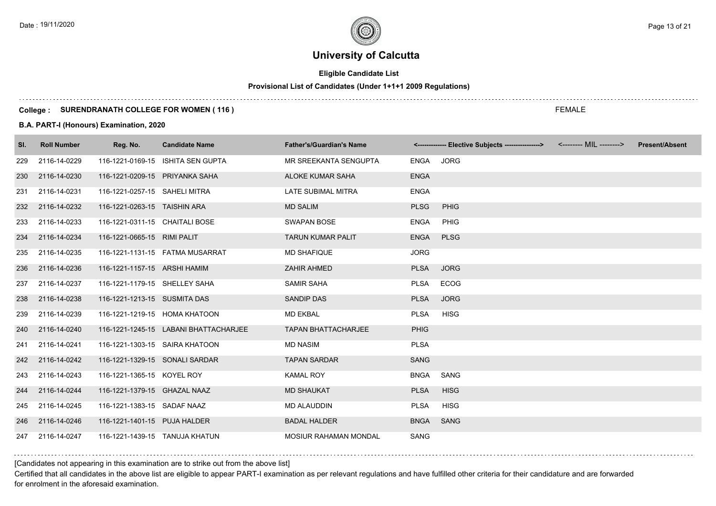# **Eligible Candidate List**

# **Provisional List of Candidates (Under 1+1+1 2009 Regulations)**

#### **College : SURENDRANATH COLLEGE FOR WOMEN ( 116 )**

#### **B.A. PART-I (Honours) Examination, 2020**

| SI. | <b>Roll Number</b> | Reg. No.                       | <b>Candidate Name</b>                 | <b>Father's/Guardian's Name</b> |             | <-------------- Elective Subjects ----------------> | <b>Present/Absent</b> |
|-----|--------------------|--------------------------------|---------------------------------------|---------------------------------|-------------|-----------------------------------------------------|-----------------------|
| 229 | 2116-14-0229       |                                | 116-1221-0169-15 ISHITA SEN GUPTA     | MR SREEKANTA SENGUPTA           | ENGA        | <b>JORG</b>                                         |                       |
| 230 | 2116-14-0230       | 116-1221-0209-15 PRIYANKA SAHA |                                       | ALOKE KUMAR SAHA                | <b>ENGA</b> |                                                     |                       |
| 231 | 2116-14-0231       | 116-1221-0257-15 SAHELI MITRA  |                                       | LATE SUBIMAL MITRA              | <b>ENGA</b> |                                                     |                       |
| 232 | 2116-14-0232       | 116-1221-0263-15 TAISHIN ARA   |                                       | <b>MD SALIM</b>                 | <b>PLSG</b> | PHIG                                                |                       |
| 233 | 2116-14-0233       | 116-1221-0311-15 CHAITALI BOSE |                                       | <b>SWAPAN BOSE</b>              | <b>ENGA</b> | <b>PHIG</b>                                         |                       |
| 234 | 2116-14-0234       | 116-1221-0665-15 RIMI PALIT    |                                       | <b>TARUN KUMAR PALIT</b>        | <b>ENGA</b> | <b>PLSG</b>                                         |                       |
| 235 | 2116-14-0235       |                                | 116-1221-1131-15    FATMA MUSARRAT    | <b>MD SHAFIQUE</b>              | <b>JORG</b> |                                                     |                       |
| 236 | 2116-14-0236       | 116-1221-1157-15 ARSHI HAMIM   |                                       | ZAHIR AHMED                     | <b>PLSA</b> | <b>JORG</b>                                         |                       |
| 237 | 2116-14-0237       | 116-1221-1179-15 SHELLEY SAHA  |                                       | <b>SAMIR SAHA</b>               | <b>PLSA</b> | <b>ECOG</b>                                         |                       |
| 238 | 2116-14-0238       | 116-1221-1213-15 SUSMITA DAS   |                                       | <b>SANDIP DAS</b>               | <b>PLSA</b> | <b>JORG</b>                                         |                       |
| 239 | 2116-14-0239       | 116-1221-1219-15 HOMA KHATOON  |                                       | <b>MD EKBAL</b>                 | <b>PLSA</b> | <b>HISG</b>                                         |                       |
| 240 | 2116-14-0240       |                                | 116-1221-1245-15 LABANI BHATTACHARJEE | <b>TAPAN BHATTACHARJEE</b>      | <b>PHIG</b> |                                                     |                       |
| 241 | 2116-14-0241       | 116-1221-1303-15 SAIRA KHATOON |                                       | <b>MD NASIM</b>                 | <b>PLSA</b> |                                                     |                       |
| 242 | 2116-14-0242       | 116-1221-1329-15 SONALI SARDAR |                                       | <b>TAPAN SARDAR</b>             | <b>SANG</b> |                                                     |                       |
| 243 | 2116-14-0243       | 116-1221-1365-15 KOYEL ROY     |                                       | <b>KAMAL ROY</b>                | <b>BNGA</b> | SANG                                                |                       |
| 244 | 2116-14-0244       | 116-1221-1379-15 GHAZAL NAAZ   |                                       | <b>MD SHAUKAT</b>               | <b>PLSA</b> | <b>HISG</b>                                         |                       |
| 245 | 2116-14-0245       | 116-1221-1383-15 SADAF NAAZ    |                                       | <b>MD ALAUDDIN</b>              | <b>PLSA</b> | <b>HISG</b>                                         |                       |
| 246 | 2116-14-0246       | 116-1221-1401-15 PUJA HALDER   |                                       | <b>BADAL HALDER</b>             | <b>BNGA</b> | SANG                                                |                       |
| 247 | 2116-14-0247       | 116-1221-1439-15 TANUJA KHATUN |                                       | MOSIUR RAHAMAN MONDAL           | <b>SANG</b> |                                                     |                       |

### [Candidates not appearing in this examination are to strike out from the above list]

Certified that all candidates in the above list are eligible to appear PART-I examination as per relevant regulations and have fulfilled other criteria for their candidature and are forwarded for enrolment in the aforesaid examination.

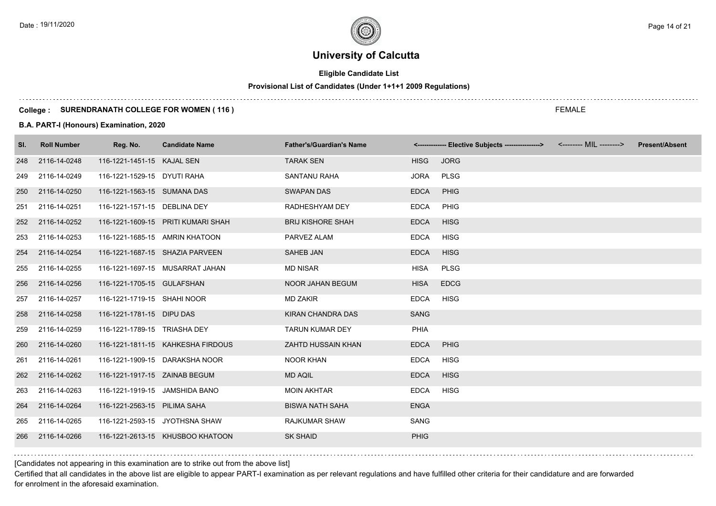# **Eligible Candidate List**

# **Provisional List of Candidates (Under 1+1+1 2009 Regulations)**

#### **College : SURENDRANATH COLLEGE FOR WOMEN ( 116 )**

#### **B.A. PART-I (Honours) Examination, 2020**

| SI. | <b>Roll Number</b> | Reg. No.                       | <b>Candidate Name</b>              | <b>Father's/Guardian's Name</b> |             | <------------- Elective Subjects ---------------> <-------- MIL --------> | <b>Present/Absent</b> |
|-----|--------------------|--------------------------------|------------------------------------|---------------------------------|-------------|---------------------------------------------------------------------------|-----------------------|
| 248 | 2116-14-0248       | 116-1221-1451-15 KAJAL SEN     |                                    | <b>TARAK SEN</b>                | <b>HISG</b> | <b>JORG</b>                                                               |                       |
| 249 | 2116-14-0249       | 116-1221-1529-15 DYUTI RAHA    |                                    | SANTANU RAHA                    | <b>JORA</b> | <b>PLSG</b>                                                               |                       |
| 250 | 2116-14-0250       | 116-1221-1563-15 SUMANA DAS    |                                    | <b>SWAPAN DAS</b>               | <b>EDCA</b> | <b>PHIG</b>                                                               |                       |
| 251 | 2116-14-0251       | 116-1221-1571-15 DEBLINA DEY   |                                    | RADHESHYAM DEY                  | <b>EDCA</b> | PHIG                                                                      |                       |
| 252 | 2116-14-0252       |                                | 116-1221-1609-15 PRITI KUMARI SHAH | <b>BRIJ KISHORE SHAH</b>        | <b>EDCA</b> | <b>HISG</b>                                                               |                       |
| 253 | 2116-14-0253       | 116-1221-1685-15 AMRIN KHATOON |                                    | PARVEZ ALAM                     | <b>EDCA</b> | <b>HISG</b>                                                               |                       |
| 254 | 2116-14-0254       |                                | 116-1221-1687-15 SHAZIA PARVEEN    | SAHEB JAN                       | <b>EDCA</b> | <b>HISG</b>                                                               |                       |
| 255 | 2116-14-0255       |                                | 116-1221-1697-15 MUSARRAT JAHAN    | <b>MD NISAR</b>                 | HISA        | <b>PLSG</b>                                                               |                       |
| 256 | 2116-14-0256       | 116-1221-1705-15 GULAFSHAN     |                                    | <b>NOOR JAHAN BEGUM</b>         | <b>HISA</b> | <b>EDCG</b>                                                               |                       |
| 257 | 2116-14-0257       | 116-1221-1719-15 SHAHI NOOR    |                                    | <b>MD ZAKIR</b>                 | <b>EDCA</b> | <b>HISG</b>                                                               |                       |
| 258 | 2116-14-0258       | 116-1221-1781-15 DIPU DAS      |                                    | <b>KIRAN CHANDRA DAS</b>        | <b>SANG</b> |                                                                           |                       |
| 259 | 2116-14-0259       | 116-1221-1789-15 TRIASHA DEY   |                                    | <b>TARUN KUMAR DEY</b>          | PHIA        |                                                                           |                       |
| 260 | 2116-14-0260       |                                | 116-1221-1811-15 KAHKESHA FIRDOUS  | ZAHTD HUSSAIN KHAN              | <b>EDCA</b> | PHIG                                                                      |                       |
| 261 | 2116-14-0261       |                                | 116-1221-1909-15 DARAKSHA NOOR     | <b>NOOR KHAN</b>                | <b>EDCA</b> | <b>HISG</b>                                                               |                       |
| 262 | 2116-14-0262       | 116-1221-1917-15 ZAINAB BEGUM  |                                    | <b>MD AQIL</b>                  | <b>EDCA</b> | <b>HISG</b>                                                               |                       |
| 263 | 2116-14-0263       | 116-1221-1919-15 JAMSHIDA BANO |                                    | <b>MOIN AKHTAR</b>              | <b>EDCA</b> | <b>HISG</b>                                                               |                       |
| 264 | 2116-14-0264       | 116-1221-2563-15 PILIMA SAHA   |                                    | <b>BISWA NATH SAHA</b>          | <b>ENGA</b> |                                                                           |                       |
| 265 | 2116-14-0265       |                                | 116-1221-2593-15 JYOTHSNA SHAW     | RAJKUMAR SHAW                   | <b>SANG</b> |                                                                           |                       |
| 266 | 2116-14-0266       |                                | 116-1221-2613-15 KHUSBOO KHATOON   | <b>SK SHAID</b>                 | <b>PHIG</b> |                                                                           |                       |

[Candidates not appearing in this examination are to strike out from the above list]

Certified that all candidates in the above list are eligible to appear PART-I examination as per relevant regulations and have fulfilled other criteria for their candidature and are forwarded for enrolment in the aforesaid examination.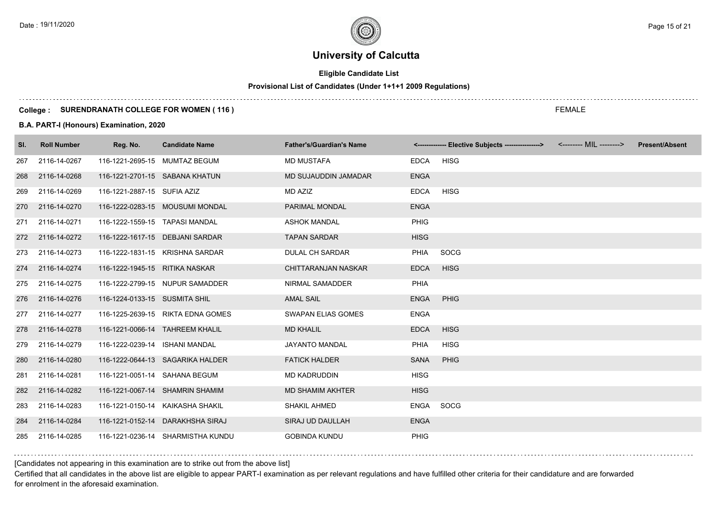# **Eligible Candidate List**

# **Provisional List of Candidates (Under 1+1+1 2009 Regulations)**

#### **College : SURENDRANATH COLLEGE FOR WOMEN ( 116 )**

#### **B.A. PART-I (Honours) Examination, 2020**

| SI. | <b>Roll Number</b> | Reg. No.                        | <b>Candidate Name</b>             | <b>Father's/Guardian's Name</b> |             | <------------- Elective Subjects ---------------> <-------- MIL --------> | <b>Present/Absent</b> |
|-----|--------------------|---------------------------------|-----------------------------------|---------------------------------|-------------|---------------------------------------------------------------------------|-----------------------|
| 267 | 2116-14-0267       | 116-1221-2695-15 MUMTAZ BEGUM   |                                   | <b>MD MUSTAFA</b>               | <b>EDCA</b> | <b>HISG</b>                                                               |                       |
| 268 | 2116-14-0268       | 116-1221-2701-15 SABANA KHATUN  |                                   | MD SUJAUDDIN JAMADAR            | <b>ENGA</b> |                                                                           |                       |
| 269 | 2116-14-0269       | 116-1221-2887-15 SUFIA AZIZ     |                                   | MD AZIZ                         | <b>EDCA</b> | <b>HISG</b>                                                               |                       |
| 270 | 2116-14-0270       |                                 | 116-1222-0283-15 MOUSUMI MONDAL   | PARIMAL MONDAL                  | <b>ENGA</b> |                                                                           |                       |
| 271 | 2116-14-0271       | 116-1222-1559-15 TAPASI MANDAL  |                                   | <b>ASHOK MANDAL</b>             | <b>PHIG</b> |                                                                           |                       |
| 272 | 2116-14-0272       |                                 | 116-1222-1617-15 DEBJANI SARDAR   | <b>TAPAN SARDAR</b>             | <b>HISG</b> |                                                                           |                       |
| 273 | 2116-14-0273       |                                 | 116-1222-1831-15 KRISHNA SARDAR   | <b>DULAL CH SARDAR</b>          | PHIA        | <b>SOCG</b>                                                               |                       |
|     | 274 2116-14-0274   | 116-1222-1945-15 RITIKA NASKAR  |                                   | <b>CHITTARANJAN NASKAR</b>      | <b>EDCA</b> | <b>HISG</b>                                                               |                       |
| 275 | 2116-14-0275       |                                 | 116-1222-2799-15 NUPUR SAMADDER   | NIRMAL SAMADDER                 | PHIA        |                                                                           |                       |
| 276 | 2116-14-0276       | 116-1224-0133-15 SUSMITA SHIL   |                                   | <b>AMAL SAIL</b>                | <b>ENGA</b> | PHIG                                                                      |                       |
| 277 | 2116-14-0277       |                                 | 116-1225-2639-15 RIKTA EDNA GOMES | SWAPAN ELIAS GOMES              | <b>ENGA</b> |                                                                           |                       |
| 278 | 2116-14-0278       | 116-1221-0066-14 TAHREEM KHALIL |                                   | <b>MD KHALIL</b>                | <b>EDCA</b> | <b>HISG</b>                                                               |                       |
| 279 | 2116-14-0279       | 116-1222-0239-14 ISHANI MANDAL  |                                   | JAYANTO MANDAL                  | PHIA        | <b>HISG</b>                                                               |                       |
| 280 | 2116-14-0280       |                                 | 116-1222-0644-13 SAGARIKA HALDER  | <b>FATICK HALDER</b>            | <b>SANA</b> | PHIG                                                                      |                       |
| 281 | 2116-14-0281       | 116-1221-0051-14 SAHANA BEGUM   |                                   | <b>MD KADRUDDIN</b>             | <b>HISG</b> |                                                                           |                       |
| 282 | 2116-14-0282       |                                 | 116-1221-0067-14 SHAMRIN SHAMIM   | <b>MD SHAMIM AKHTER</b>         | <b>HISG</b> |                                                                           |                       |
| 283 | 2116-14-0283       |                                 | 116-1221-0150-14 KAIKASHA SHAKIL  | <b>SHAKIL AHMED</b>             | ENGA        | SOCG                                                                      |                       |
| 284 | 2116-14-0284       |                                 | 116-1221-0152-14 DARAKHSHA SIRAJ  | SIRAJ UD DAULLAH                | <b>ENGA</b> |                                                                           |                       |
| 285 | 2116-14-0285       |                                 | 116-1221-0236-14 SHARMISTHA KUNDU | <b>GOBINDA KUNDU</b>            | <b>PHIG</b> |                                                                           |                       |

[Candidates not appearing in this examination are to strike out from the above list]

Certified that all candidates in the above list are eligible to appear PART-I examination as per relevant regulations and have fulfilled other criteria for their candidature and are forwarded for enrolment in the aforesaid examination.

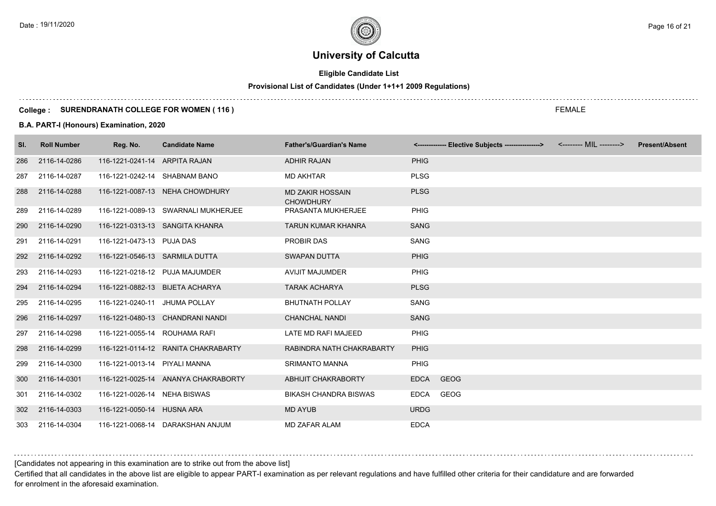# **Eligible Candidate List**

# **Provisional List of Candidates (Under 1+1+1 2009 Regulations)**

#### **College : SURENDRANATH COLLEGE FOR WOMEN ( 116 )**

#### **B.A. PART-I (Honours) Examination, 2020**

| SI. | <b>Roll Number</b> | Reg. No.                        | <b>Candidate Name</b>               | <b>Father's/Guardian's Name</b>             |             | <-------------- Elective Subjects ----------------> | <-------- MIL --------> | <b>Present/Absent</b> |
|-----|--------------------|---------------------------------|-------------------------------------|---------------------------------------------|-------------|-----------------------------------------------------|-------------------------|-----------------------|
| 286 | 2116-14-0286       | 116-1221-0241-14 ARPITA RAJAN   |                                     | <b>ADHIR RAJAN</b>                          | <b>PHIG</b> |                                                     |                         |                       |
| 287 | 2116-14-0287       | 116-1221-0242-14 SHABNAM BANO   |                                     | <b>MD AKHTAR</b>                            | <b>PLSG</b> |                                                     |                         |                       |
| 288 | 2116-14-0288       |                                 | 116-1221-0087-13 NEHA CHOWDHURY     | <b>MD ZAKIR HOSSAIN</b><br><b>CHOWDHURY</b> | <b>PLSG</b> |                                                     |                         |                       |
| 289 | 2116-14-0289       |                                 | 116-1221-0089-13 SWARNALI MUKHERJEE | PRASANTA MUKHERJEE                          | PHIG        |                                                     |                         |                       |
| 290 | 2116-14-0290       |                                 | 116-1221-0313-13 SANGITA KHANRA     | <b>TARUN KUMAR KHANRA</b>                   | <b>SANG</b> |                                                     |                         |                       |
| 291 | 2116-14-0291       | 116-1221-0473-13 PUJA DAS       |                                     | PROBIR DAS                                  | <b>SANG</b> |                                                     |                         |                       |
| 292 | 2116-14-0292       | 116-1221-0546-13 SARMILA DUTTA  |                                     | <b>SWAPAN DUTTA</b>                         | <b>PHIG</b> |                                                     |                         |                       |
| 293 | 2116-14-0293       | 116-1221-0218-12 PUJA MAJUMDER  |                                     | <b>AVIJIT MAJUMDER</b>                      | <b>PHIG</b> |                                                     |                         |                       |
| 294 | 2116-14-0294       | 116-1221-0882-13 BIJETA ACHARYA |                                     | <b>TARAK ACHARYA</b>                        | <b>PLSG</b> |                                                     |                         |                       |
| 295 | 2116-14-0295       | 116-1221-0240-11 JHUMA POLLAY   |                                     | <b>BHUTNATH POLLAY</b>                      | SANG        |                                                     |                         |                       |
| 296 | 2116-14-0297       |                                 | 116-1221-0480-13 CHANDRANI NANDI    | <b>CHANCHAL NANDI</b>                       | <b>SANG</b> |                                                     |                         |                       |
| 297 | 2116-14-0298       | 116-1221-0055-14 ROUHAMA RAFI   |                                     | LATE MD RAFI MAJEED                         | PHIG        |                                                     |                         |                       |
| 298 | 2116-14-0299       |                                 | 116-1221-0114-12 RANITA CHAKRABARTY | RABINDRA NATH CHAKRABARTY                   | <b>PHIG</b> |                                                     |                         |                       |
| 299 | 2116-14-0300       | 116-1221-0013-14 PIYALI MANNA   |                                     | <b>SRIMANTO MANNA</b>                       | <b>PHIG</b> |                                                     |                         |                       |
| 300 | 2116-14-0301       |                                 | 116-1221-0025-14 ANANYA CHAKRABORTY | ABHIJIT CHAKRABORTY                         | <b>EDCA</b> | <b>GEOG</b>                                         |                         |                       |
| 301 | 2116-14-0302       | 116-1221-0026-14 NEHA BISWAS    |                                     | <b>BIKASH CHANDRA BISWAS</b>                | EDCA        | GEOG                                                |                         |                       |
| 302 | 2116-14-0303       | 116-1221-0050-14 HUSNA ARA      |                                     | <b>MD AYUB</b>                              | <b>URDG</b> |                                                     |                         |                       |
| 303 | 2116-14-0304       |                                 | 116-1221-0068-14 DARAKSHAN ANJUM    | <b>MD ZAFAR ALAM</b>                        | <b>EDCA</b> |                                                     |                         |                       |

#### [Candidates not appearing in this examination are to strike out from the above list]

Certified that all candidates in the above list are eligible to appear PART-I examination as per relevant regulations and have fulfilled other criteria for their candidature and are forwarded for enrolment in the aforesaid examination.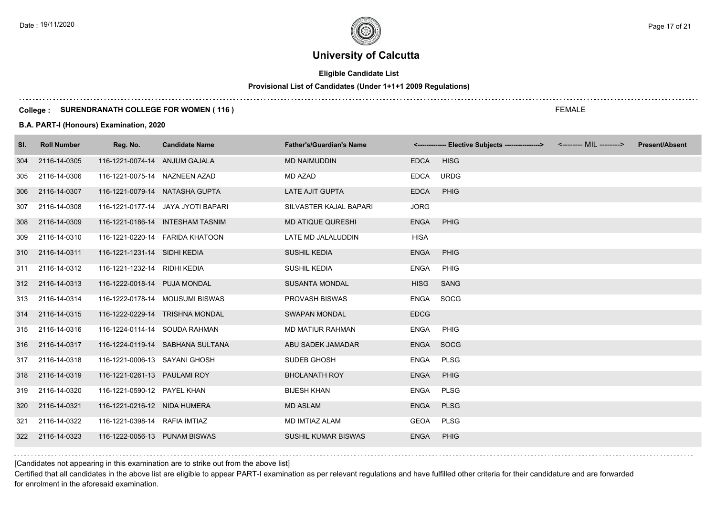$\ldots$  .

# **University of Calcutta**

# **Eligible Candidate List**

#### **Provisional List of Candidates (Under 1+1+1 2009 Regulations)**

#### **College : SURENDRANATH COLLEGE FOR WOMEN ( 116 )**

#### **B.A. PART-I (Honours) Examination, 2020**

| SI. | <b>Roll Number</b> | Reg. No.                       | <b>Candidate Name</b>              | <b>Father's/Guardian's Name</b> |             | <------------- Elective Subjects ---------------> <-------- MIL --------> | <b>Present/Absent</b> |
|-----|--------------------|--------------------------------|------------------------------------|---------------------------------|-------------|---------------------------------------------------------------------------|-----------------------|
| 304 | 2116-14-0305       | 116-1221-0074-14 ANJUM GAJALA  |                                    | <b>MD NAIMUDDIN</b>             | <b>EDCA</b> | <b>HISG</b>                                                               |                       |
| 305 | 2116-14-0306       | 116-1221-0075-14 NAZNEEN AZAD  |                                    | MD AZAD                         | <b>EDCA</b> | <b>URDG</b>                                                               |                       |
| 306 | 2116-14-0307       | 116-1221-0079-14 NATASHA GUPTA |                                    | <b>LATE AJIT GUPTA</b>          | <b>EDCA</b> | PHIG                                                                      |                       |
| 307 | 2116-14-0308       |                                | 116-1221-0177-14 JAYA JYOTI BAPARI | SILVASTER KAJAL BAPARI          | <b>JORG</b> |                                                                           |                       |
| 308 | 2116-14-0309       |                                | 116-1221-0186-14 INTESHAM TASNIM   | <b>MD ATIQUE QURESHI</b>        | <b>ENGA</b> | PHIG                                                                      |                       |
| 309 | 2116-14-0310       |                                | 116-1221-0220-14    FARIDA KHATOON | LATE MD JALALUDDIN              | <b>HISA</b> |                                                                           |                       |
|     | 310 2116-14-0311   | 116-1221-1231-14 SIDHI KEDIA   |                                    | <b>SUSHIL KEDIA</b>             | <b>ENGA</b> | PHIG                                                                      |                       |
|     | 311 2116-14-0312   | 116-1221-1232-14 RIDHI KEDIA   |                                    | SUSHIL KEDIA                    | ENGA        | PHIG                                                                      |                       |
|     | 312 2116-14-0313   | 116-1222-0018-14 PUJA MONDAL   |                                    | <b>SUSANTA MONDAL</b>           | <b>HISG</b> | <b>SANG</b>                                                               |                       |
| 313 | 2116-14-0314       |                                | 116-1222-0178-14 MOUSUMI BISWAS    | <b>PROVASH BISWAS</b>           | ENGA        | SOCG                                                                      |                       |
| 314 | 2116-14-0315       |                                | 116-1222-0229-14 TRISHNA MONDAL    | <b>SWAPAN MONDAL</b>            | <b>EDCG</b> |                                                                           |                       |
| 315 | 2116-14-0316       | 116-1224-0114-14 SOUDA RAHMAN  |                                    | MD MATIUR RAHMAN                | <b>ENGA</b> | <b>PHIG</b>                                                               |                       |
| 316 | 2116-14-0317       |                                | 116-1224-0119-14 SABHANA SULTANA   | ABU SADEK JAMADAR               | <b>ENGA</b> | SOCG                                                                      |                       |
| 317 | 2116-14-0318       | 116-1221-0006-13 SAYANI GHOSH  |                                    | SUDEB GHOSH                     | <b>ENGA</b> | <b>PLSG</b>                                                               |                       |
|     | 318 2116-14-0319   | 116-1221-0261-13 PAULAMI ROY   |                                    | <b>BHOLANATH ROY</b>            | <b>ENGA</b> | PHIG                                                                      |                       |
| 319 | 2116-14-0320       | 116-1221-0590-12 PAYEL KHAN    |                                    | <b>BIJESH KHAN</b>              | ENGA        | <b>PLSG</b>                                                               |                       |
| 320 | 2116-14-0321       | 116-1221-0216-12 NIDA HUMERA   |                                    | <b>MD ASLAM</b>                 | <b>ENGA</b> | <b>PLSG</b>                                                               |                       |
| 321 | 2116-14-0322       | 116-1221-0398-14 RAFIA IMTIAZ  |                                    | MD IMTIAZ ALAM                  | <b>GEOA</b> | <b>PLSG</b>                                                               |                       |
| 322 | 2116-14-0323       | 116-1222-0056-13 PUNAM BISWAS  |                                    | SUSHIL KUMAR BISWAS             | <b>ENGA</b> | PHIG                                                                      |                       |

[Candidates not appearing in this examination are to strike out from the above list]

Certified that all candidates in the above list are eligible to appear PART-I examination as per relevant regulations and have fulfilled other criteria for their candidature and are forwarded for enrolment in the aforesaid examination.

FEMALE

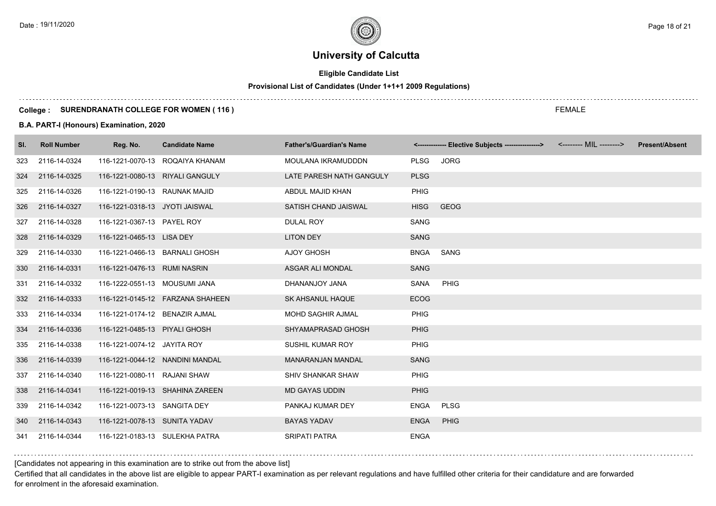# **Eligible Candidate List**

# **Provisional List of Candidates (Under 1+1+1 2009 Regulations)**

#### **College : SURENDRANATH COLLEGE FOR WOMEN ( 116 )**

#### **B.A. PART-I (Honours) Examination, 2020**

| SI. | <b>Roll Number</b> | Reg. No.                        | <b>Candidate Name</b>               | <b>Father's/Guardian's Name</b> |             | <------------- Elective Subjects ----------------> | <-------- MIL --------> | <b>Present/Absent</b> |
|-----|--------------------|---------------------------------|-------------------------------------|---------------------------------|-------------|----------------------------------------------------|-------------------------|-----------------------|
| 323 | 2116-14-0324       |                                 | 116-1221-0070-13 ROQAIYA KHANAM     | MOULANA IKRAMUDDDN              | <b>PLSG</b> | <b>JORG</b>                                        |                         |                       |
| 324 | 2116-14-0325       | 116-1221-0080-13 RIYALI GANGULY |                                     | LATE PARESH NATH GANGULY        | <b>PLSG</b> |                                                    |                         |                       |
| 325 | 2116-14-0326       | 116-1221-0190-13 RAUNAK MAJID   |                                     | ABDUL MAJID KHAN                | <b>PHIG</b> |                                                    |                         |                       |
| 326 | 2116-14-0327       | 116-1221-0318-13 JYOTI JAISWAL  |                                     | SATISH CHAND JAISWAL            | <b>HISG</b> | <b>GEOG</b>                                        |                         |                       |
| 327 | 2116-14-0328       | 116-1221-0367-13 PAYEL ROY      |                                     | <b>DULAL ROY</b>                | <b>SANG</b> |                                                    |                         |                       |
| 328 | 2116-14-0329       | 116-1221-0465-13 LISA DEY       |                                     | <b>LITON DEY</b>                | <b>SANG</b> |                                                    |                         |                       |
| 329 | 2116-14-0330       | 116-1221-0466-13 BARNALI GHOSH  |                                     | <b>AJOY GHOSH</b>               | <b>BNGA</b> | SANG                                               |                         |                       |
| 330 | 2116-14-0331       | 116-1221-0476-13 RUMI NASRIN    |                                     | ASGAR ALI MONDAL                | <b>SANG</b> |                                                    |                         |                       |
| 331 | 2116-14-0332       | 116-1222-0551-13 MOUSUMI JANA   |                                     | DHANANJOY JANA                  | SANA        | <b>PHIG</b>                                        |                         |                       |
| 332 | 2116-14-0333       |                                 | 116-1221-0145-12    FARZANA SHAHEEN | SK AHSANUL HAQUE                | <b>ECOG</b> |                                                    |                         |                       |
| 333 | 2116-14-0334       | 116-1221-0174-12 BENAZIR AJMAL  |                                     | MOHD SAGHIR AJMAL               | <b>PHIG</b> |                                                    |                         |                       |
| 334 | 2116-14-0336       | 116-1221-0485-13 PIYALI GHOSH   |                                     | SHYAMAPRASAD GHOSH              | <b>PHIG</b> |                                                    |                         |                       |
| 335 | 2116-14-0338       | 116-1221-0074-12 JAYITA ROY     |                                     | SUSHIL KUMAR ROY                | <b>PHIG</b> |                                                    |                         |                       |
| 336 | 2116-14-0339       | 116-1221-0044-12 NANDINI MANDAL |                                     | <b>MANARANJAN MANDAL</b>        | <b>SANG</b> |                                                    |                         |                       |
| 337 | 2116-14-0340       | 116-1221-0080-11 RAJANI SHAW    |                                     | <b>SHIV SHANKAR SHAW</b>        | <b>PHIG</b> |                                                    |                         |                       |
| 338 | 2116-14-0341       |                                 | 116-1221-0019-13 SHAHINA ZAREEN     | <b>MD GAYAS UDDIN</b>           | <b>PHIG</b> |                                                    |                         |                       |
| 339 | 2116-14-0342       | 116-1221-0073-13 SANGITA DEY    |                                     | PANKAJ KUMAR DEY                | <b>ENGA</b> | <b>PLSG</b>                                        |                         |                       |
| 340 | 2116-14-0343       | 116-1221-0078-13 SUNITA YADAV   |                                     | <b>BAYAS YADAV</b>              | <b>ENGA</b> | PHIG                                               |                         |                       |
| 341 | 2116-14-0344       | 116-1221-0183-13 SULEKHA PATRA  |                                     | <b>SRIPATI PATRA</b>            | <b>ENGA</b> |                                                    |                         |                       |

[Candidates not appearing in this examination are to strike out from the above list]

Certified that all candidates in the above list are eligible to appear PART-I examination as per relevant regulations and have fulfilled other criteria for their candidature and are forwarded for enrolment in the aforesaid examination.

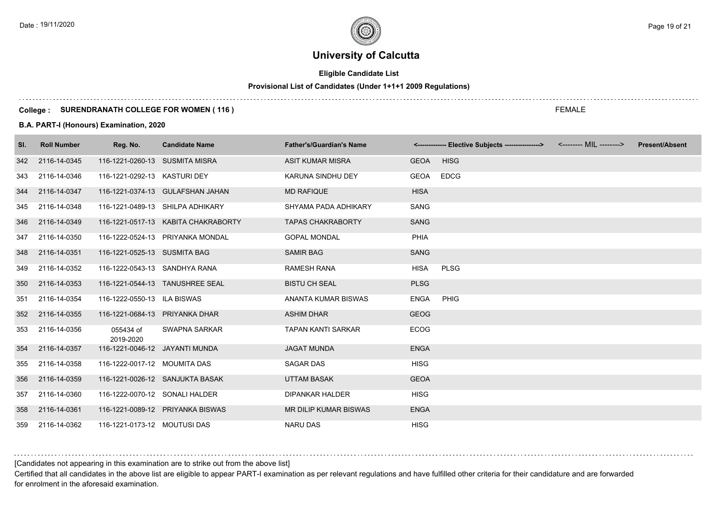# **Eligible Candidate List**

# **Provisional List of Candidates (Under 1+1+1 2009 Regulations)**

#### **College : SURENDRANATH COLLEGE FOR WOMEN ( 116 )**

#### **B.A. PART-I (Honours) Examination, 2020**

| SI. | <b>Roll Number</b> | Reg. No.                       | <b>Candidate Name</b>               | <b>Father's/Guardian's Name</b> |             | <-------------- Elective Subjects ----------------> | <-------- MIL --------> | <b>Present/Absent</b> |
|-----|--------------------|--------------------------------|-------------------------------------|---------------------------------|-------------|-----------------------------------------------------|-------------------------|-----------------------|
| 342 | 2116-14-0345       | 116-1221-0260-13 SUSMITA MISRA |                                     | <b>ASIT KUMAR MISRA</b>         | <b>GEOA</b> | <b>HISG</b>                                         |                         |                       |
| 343 | 2116-14-0346       | 116-1221-0292-13 KASTURI DEY   |                                     | <b>KARUNA SINDHU DEY</b>        | GEOA        | <b>EDCG</b>                                         |                         |                       |
| 344 | 2116-14-0347       |                                | 116-1221-0374-13 GULAFSHAN JAHAN    | <b>MD RAFIQUE</b>               | <b>HISA</b> |                                                     |                         |                       |
| 345 | 2116-14-0348       |                                | 116-1221-0489-13 SHILPA ADHIKARY    | SHYAMA PADA ADHIKARY            | <b>SANG</b> |                                                     |                         |                       |
| 346 | 2116-14-0349       |                                | 116-1221-0517-13 KABITA CHAKRABORTY | <b>TAPAS CHAKRABORTY</b>        | <b>SANG</b> |                                                     |                         |                       |
| 347 | 2116-14-0350       |                                | 116-1222-0524-13 PRIYANKA MONDAL    | <b>GOPAL MONDAL</b>             | <b>PHIA</b> |                                                     |                         |                       |
| 348 | 2116-14-0351       | 116-1221-0525-13 SUSMITA BAG   |                                     | <b>SAMIR BAG</b>                | <b>SANG</b> |                                                     |                         |                       |
| 349 | 2116-14-0352       | 116-1222-0543-13 SANDHYA RANA  |                                     | <b>RAMESH RANA</b>              | <b>HISA</b> | <b>PLSG</b>                                         |                         |                       |
| 350 | 2116-14-0353       |                                | 116-1221-0544-13 TANUSHREE SEAL     | <b>BISTU CH SEAL</b>            | <b>PLSG</b> |                                                     |                         |                       |
| 351 | 2116-14-0354       | 116-1222-0550-13 ILA BISWAS    |                                     | ANANTA KUMAR BISWAS             | <b>ENGA</b> | PHIG                                                |                         |                       |
| 352 | 2116-14-0355       | 116-1221-0684-13 PRIYANKA DHAR |                                     | <b>ASHIM DHAR</b>               | <b>GEOG</b> |                                                     |                         |                       |
| 353 | 2116-14-0356       | 055434 of<br>2019-2020         | SWAPNA SARKAR                       | <b>TAPAN KANTI SARKAR</b>       | <b>ECOG</b> |                                                     |                         |                       |
| 354 | 2116-14-0357       | 116-1221-0046-12 JAYANTI MUNDA |                                     | <b>JAGAT MUNDA</b>              | <b>ENGA</b> |                                                     |                         |                       |
| 355 | 2116-14-0358       | 116-1222-0017-12 MOUMITA DAS   |                                     | <b>SAGAR DAS</b>                | <b>HISG</b> |                                                     |                         |                       |
| 356 | 2116-14-0359       |                                | 116-1221-0026-12 SANJUKTA BASAK     | <b>UTTAM BASAK</b>              | <b>GEOA</b> |                                                     |                         |                       |
| 357 | 2116-14-0360       | 116-1222-0070-12 SONALI HALDER |                                     | <b>DIPANKAR HALDER</b>          | <b>HISG</b> |                                                     |                         |                       |
| 358 | 2116-14-0361       |                                | 116-1221-0089-12 PRIYANKA BISWAS    | MR DILIP KUMAR BISWAS           | <b>ENGA</b> |                                                     |                         |                       |
| 359 | 2116-14-0362       | 116-1221-0173-12 MOUTUSI DAS   |                                     | <b>NARU DAS</b>                 | <b>HISG</b> |                                                     |                         |                       |

### [Candidates not appearing in this examination are to strike out from the above list]

Certified that all candidates in the above list are eligible to appear PART-I examination as per relevant regulations and have fulfilled other criteria for their candidature and are forwarded for enrolment in the aforesaid examination.

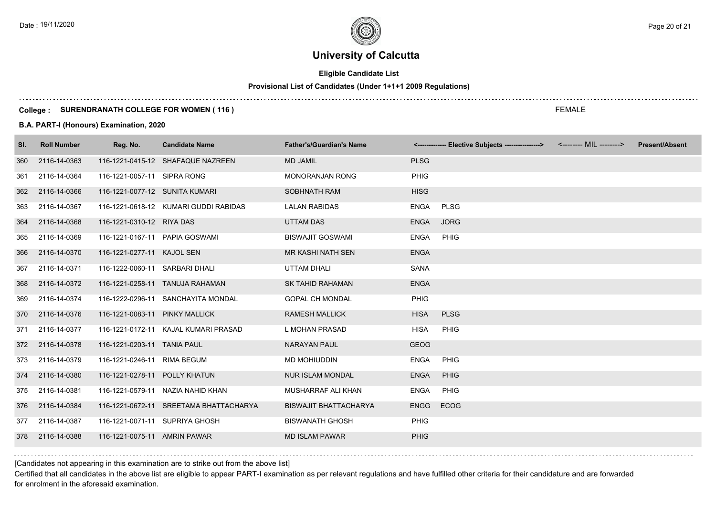# **Eligible Candidate List**

# **Provisional List of Candidates (Under 1+1+1 2009 Regulations)**

#### **College : SURENDRANATH COLLEGE FOR WOMEN ( 116 )**

#### **B.A. PART-I (Honours) Examination, 2020**

| SI. | <b>Roll Number</b> | Reg. No.                       | <b>Candidate Name</b>                  | <b>Father's/Guardian's Name</b> |             | <------------- Elective Subjects ----------------> | <-------- MIL --------> | <b>Present/Absent</b> |
|-----|--------------------|--------------------------------|----------------------------------------|---------------------------------|-------------|----------------------------------------------------|-------------------------|-----------------------|
| 360 | 2116-14-0363       |                                | 116-1221-0415-12 SHAFAQUE NAZREEN      | <b>MD JAMIL</b>                 | <b>PLSG</b> |                                                    |                         |                       |
| 361 | 2116-14-0364       | 116-1221-0057-11 SIPRA RONG    |                                        | <b>MONORANJAN RONG</b>          | <b>PHIG</b> |                                                    |                         |                       |
| 362 | 2116-14-0366       | 116-1221-0077-12 SUNITA KUMARI |                                        | SOBHNATH RAM                    | <b>HISG</b> |                                                    |                         |                       |
| 363 | 2116-14-0367       |                                | 116-1221-0618-12 KUMARI GUDDI RABIDAS  | <b>LALAN RABIDAS</b>            | <b>ENGA</b> | <b>PLSG</b>                                        |                         |                       |
| 364 | 2116-14-0368       | 116-1221-0310-12 RIYA DAS      |                                        | <b>UTTAM DAS</b>                | <b>ENGA</b> | <b>JORG</b>                                        |                         |                       |
| 365 | 2116-14-0369       | 116-1221-0167-11 PAPIA GOSWAMI |                                        | <b>BISWAJIT GOSWAMI</b>         | <b>ENGA</b> | PHIG                                               |                         |                       |
| 366 | 2116-14-0370       | 116-1221-0277-11 KAJOL SEN     |                                        | <b>MR KASHI NATH SEN</b>        | <b>ENGA</b> |                                                    |                         |                       |
| 367 | 2116-14-0371       | 116-1222-0060-11 SARBARI DHALI |                                        | <b>UTTAM DHALI</b>              | <b>SANA</b> |                                                    |                         |                       |
| 368 | 2116-14-0372       |                                | 116-1221-0258-11 TANUJA RAHAMAN        | <b>SK TAHID RAHAMAN</b>         | <b>ENGA</b> |                                                    |                         |                       |
| 369 | 2116-14-0374       |                                | 116-1222-0296-11 SANCHAYITA MONDAL     | <b>GOPAL CH MONDAL</b>          | <b>PHIG</b> |                                                    |                         |                       |
| 370 | 2116-14-0376       | 116-1221-0083-11 PINKY MALLICK |                                        | <b>RAMESH MALLICK</b>           | <b>HISA</b> | <b>PLSG</b>                                        |                         |                       |
| 371 | 2116-14-0377       |                                | 116-1221-0172-11 KAJAL KUMARI PRASAD   | L MOHAN PRASAD                  | <b>HISA</b> | <b>PHIG</b>                                        |                         |                       |
| 372 | 2116-14-0378       | 116-1221-0203-11 TANIA PAUL    |                                        | <b>NARAYAN PAUL</b>             | <b>GEOG</b> |                                                    |                         |                       |
| 373 | 2116-14-0379       | 116-1221-0246-11 RIMA BEGUM    |                                        | MD MOHIUDDIN                    | <b>ENGA</b> | PHIG                                               |                         |                       |
| 374 | 2116-14-0380       | 116-1221-0278-11 POLLY KHATUN  |                                        | <b>NUR ISLAM MONDAL</b>         | <b>ENGA</b> | PHIG                                               |                         |                       |
| 375 | 2116-14-0381       |                                | 116-1221-0579-11 NAZIA NAHID KHAN      | MUSHARRAF ALI KHAN              | <b>ENGA</b> | PHIG                                               |                         |                       |
| 376 | 2116-14-0384       |                                | 116-1221-0672-11 SREETAMA BHATTACHARYA | <b>BISWAJIT BHATTACHARYA</b>    | <b>ENGG</b> | <b>ECOG</b>                                        |                         |                       |
| 377 | 2116-14-0387       | 116-1221-0071-11 SUPRIYA GHOSH |                                        | <b>BISWANATH GHOSH</b>          | <b>PHIG</b> |                                                    |                         |                       |
| 378 | 2116-14-0388       | 116-1221-0075-11 AMRIN PAWAR   |                                        | <b>MD ISLAM PAWAR</b>           | <b>PHIG</b> |                                                    |                         |                       |
|     |                    |                                |                                        |                                 |             |                                                    |                         |                       |

[Candidates not appearing in this examination are to strike out from the above list]

Certified that all candidates in the above list are eligible to appear PART-I examination as per relevant regulations and have fulfilled other criteria for their candidature and are forwarded for enrolment in the aforesaid examination.